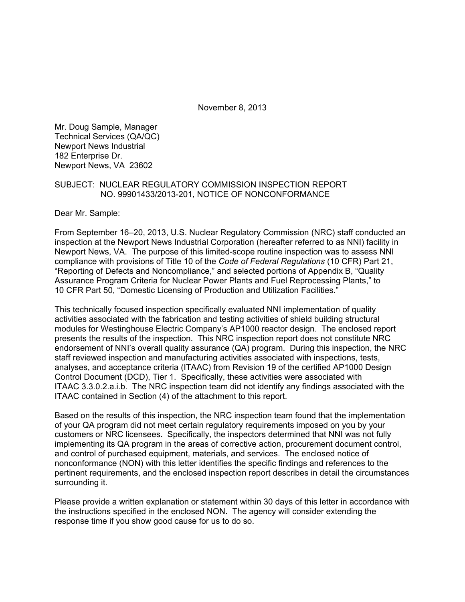November 8, 2013

Mr. Doug Sample, Manager Technical Services (QA/QC) Newport News Industrial 182 Enterprise Dr. Newport News, VA 23602

### SUBJECT: NUCLEAR REGULATORY COMMISSION INSPECTION REPORT NO. 99901433/2013-201, NOTICE OF NONCONFORMANCE

Dear Mr. Sample:

From September 16–20, 2013, U.S. Nuclear Regulatory Commission (NRC) staff conducted an inspection at the Newport News Industrial Corporation (hereafter referred to as NNI) facility in Newport News, VA. The purpose of this limited-scope routine inspection was to assess NNI compliance with provisions of Title 10 of the *Code of Federal Regulations* (10 CFR) Part 21, "Reporting of Defects and Noncompliance," and selected portions of Appendix B, "Quality Assurance Program Criteria for Nuclear Power Plants and Fuel Reprocessing Plants," to 10 CFR Part 50, "Domestic Licensing of Production and Utilization Facilities."

This technically focused inspection specifically evaluated NNI implementation of quality activities associated with the fabrication and testing activities of shield building structural modules for Westinghouse Electric Company's AP1000 reactor design. The enclosed report presents the results of the inspection. This NRC inspection report does not constitute NRC endorsement of NNI's overall quality assurance (QA) program. During this inspection, the NRC staff reviewed inspection and manufacturing activities associated with inspections, tests, analyses, and acceptance criteria (ITAAC) from Revision 19 of the certified AP1000 Design Control Document (DCD), Tier 1. Specifically, these activities were associated with ITAAC 3.3.0.2.a.i.b. The NRC inspection team did not identify any findings associated with the ITAAC contained in Section (4) of the attachment to this report.

Based on the results of this inspection, the NRC inspection team found that the implementation of your QA program did not meet certain regulatory requirements imposed on you by your customers or NRC licensees. Specifically, the inspectors determined that NNI was not fully implementing its QA program in the areas of corrective action, procurement document control, and control of purchased equipment, materials, and services. The enclosed notice of nonconformance (NON) with this letter identifies the specific findings and references to the pertinent requirements, and the enclosed inspection report describes in detail the circumstances surrounding it.

Please provide a written explanation or statement within 30 days of this letter in accordance with the instructions specified in the enclosed NON. The agency will consider extending the response time if you show good cause for us to do so.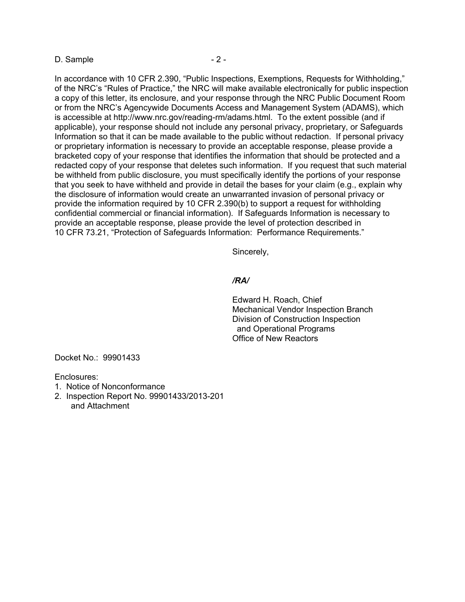#### D. Sample - 2 -

In accordance with 10 CFR 2.390, "Public Inspections, Exemptions, Requests for Withholding," of the NRC's "Rules of Practice," the NRC will make available electronically for public inspection a copy of this letter, its enclosure, and your response through the NRC Public Document Room or from the NRC's Agencywide Documents Access and Management System (ADAMS), which is accessible at http://www.nrc.gov/reading-rm/adams.html. To the extent possible (and if applicable), your response should not include any personal privacy, proprietary, or Safeguards Information so that it can be made available to the public without redaction. If personal privacy or proprietary information is necessary to provide an acceptable response, please provide a bracketed copy of your response that identifies the information that should be protected and a redacted copy of your response that deletes such information. If you request that such material be withheld from public disclosure, you must specifically identify the portions of your response that you seek to have withheld and provide in detail the bases for your claim (e.g., explain why the disclosure of information would create an unwarranted invasion of personal privacy or provide the information required by 10 CFR 2.390(b) to support a request for withholding confidential commercial or financial information). If Safeguards Information is necessary to provide an acceptable response, please provide the level of protection described in 10 CFR 73.21, "Protection of Safeguards Information: Performance Requirements."

Sincerely,

#### */RA/*

Edward H. Roach, Chief Mechanical Vendor Inspection Branch Division of Construction Inspection and Operational Programs Office of New Reactors

Docket No.: 99901433

Enclosures:

- 1. Notice of Nonconformance
- 2. Inspection Report No. 99901433/2013-201 and Attachment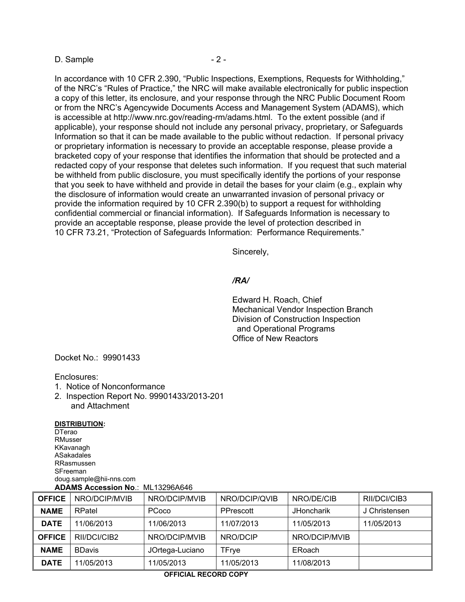#### D. Sample - 2 -

In accordance with 10 CFR 2.390, "Public Inspections, Exemptions, Requests for Withholding," of the NRC's "Rules of Practice," the NRC will make available electronically for public inspection a copy of this letter, its enclosure, and your response through the NRC Public Document Room or from the NRC's Agencywide Documents Access and Management System (ADAMS), which is accessible at http://www.nrc.gov/reading-rm/adams.html. To the extent possible (and if applicable), your response should not include any personal privacy, proprietary, or Safeguards Information so that it can be made available to the public without redaction. If personal privacy or proprietary information is necessary to provide an acceptable response, please provide a bracketed copy of your response that identifies the information that should be protected and a redacted copy of your response that deletes such information. If you request that such material be withheld from public disclosure, you must specifically identify the portions of your response that you seek to have withheld and provide in detail the bases for your claim (e.g., explain why the disclosure of information would create an unwarranted invasion of personal privacy or provide the information required by 10 CFR 2.390(b) to support a request for withholding confidential commercial or financial information). If Safeguards Information is necessary to provide an acceptable response, please provide the level of protection described in 10 CFR 73.21, "Protection of Safeguards Information: Performance Requirements."

Sincerely,

#### */RA/*

Edward H. Roach, Chief Mechanical Vendor Inspection Branch Division of Construction Inspection and Operational Programs Office of New Reactors

Docket No.: 99901433

#### Enclosures:

- 1. Notice of Nonconformance
- 2. Inspection Report No. 99901433/2013-201 and Attachment

#### **DISTRIBUTION:**

**DTerao** RMusser KKavanagh ASakadales RRasmussen **SFreeman** doug.sample@hii-nns.com **ADAMS Accession No**.: ML13296A646

| <b>OFFICE</b> | NRO/DCIP/MVIB | NRO/DCIP/MVIB   | NRO/DCIP/QVIB | NRO/DE/CIB        | RII/DCI/CIB3  |
|---------------|---------------|-----------------|---------------|-------------------|---------------|
| <b>NAME</b>   | RPatel        | PCoco           | PPrescott     | <b>JHoncharik</b> | J Christensen |
| <b>DATE</b>   | 11/06/2013    | 11/06/2013      | 11/07/2013    | 11/05/2013        | 11/05/2013    |
| <b>OFFICE</b> | RII/DCI/CIB2  | NRO/DCIP/MVIB   | NRO/DCIP      | NRO/DCIP/MVIB     |               |
| <b>NAME</b>   | <b>BDavis</b> | JOrtega-Luciano | TFrye         | ERoach            |               |
| <b>DATE</b>   | 11/05/2013    | 11/05/2013      | 11/05/2013    | 11/08/2013        |               |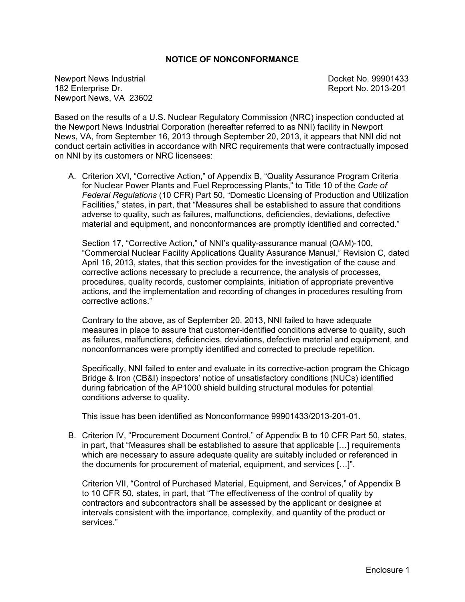## **NOTICE OF NONCONFORMANCE**

Newport News Industrial News Control Control of the Docket No. 99901433 182 Enterprise Dr. Report No. 2013-201 Newport News, VA 23602

Based on the results of a U.S. Nuclear Regulatory Commission (NRC) inspection conducted at the Newport News Industrial Corporation (hereafter referred to as NNI) facility in Newport News, VA, from September 16, 2013 through September 20, 2013, it appears that NNI did not conduct certain activities in accordance with NRC requirements that were contractually imposed on NNI by its customers or NRC licensees:

A. Criterion XVI, "Corrective Action," of Appendix B, "Quality Assurance Program Criteria for Nuclear Power Plants and Fuel Reprocessing Plants," to Title 10 of the *Code of Federal Regulations* (10 CFR) Part 50, "Domestic Licensing of Production and Utilization Facilities," states, in part, that "Measures shall be established to assure that conditions adverse to quality, such as failures, malfunctions, deficiencies, deviations, defective material and equipment, and nonconformances are promptly identified and corrected."

Section 17, "Corrective Action," of NNI's quality-assurance manual (QAM)-100, "Commercial Nuclear Facility Applications Quality Assurance Manual," Revision C, dated April 16, 2013, states, that this section provides for the investigation of the cause and corrective actions necessary to preclude a recurrence, the analysis of processes, procedures, quality records, customer complaints, initiation of appropriate preventive actions, and the implementation and recording of changes in procedures resulting from corrective actions."

Contrary to the above, as of September 20, 2013, NNI failed to have adequate measures in place to assure that customer-identified conditions adverse to quality, such as failures, malfunctions, deficiencies, deviations, defective material and equipment, and nonconformances were promptly identified and corrected to preclude repetition.

Specifically, NNI failed to enter and evaluate in its corrective-action program the Chicago Bridge & Iron (CB&I) inspectors' notice of unsatisfactory conditions (NUCs) identified during fabrication of the AP1000 shield building structural modules for potential conditions adverse to quality.

This issue has been identified as Nonconformance 99901433/2013-201-01.

B. Criterion IV, "Procurement Document Control," of Appendix B to 10 CFR Part 50, states, in part, that "Measures shall be established to assure that applicable […] requirements which are necessary to assure adequate quality are suitably included or referenced in the documents for procurement of material, equipment, and services […]".

Criterion VII, "Control of Purchased Material, Equipment, and Services," of Appendix B to 10 CFR 50, states, in part, that "The effectiveness of the control of quality by contractors and subcontractors shall be assessed by the applicant or designee at intervals consistent with the importance, complexity, and quantity of the product or services."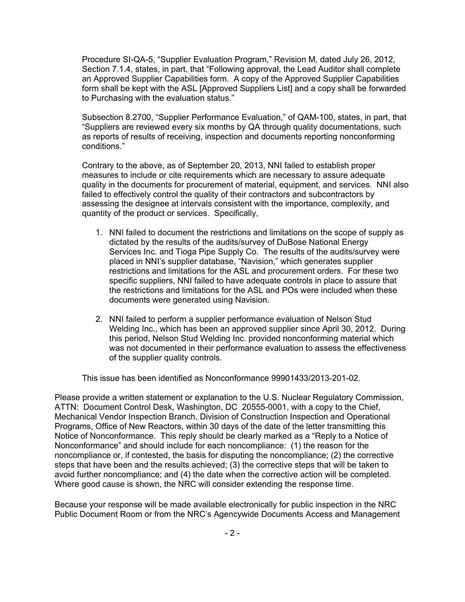Procedure SI-QA-5, "Supplier Evaluation Program," Revision M, dated July 26, 2012, Section 7.1.4, states, in part, that "Following approval, the Lead Auditor shall complete an Approved Supplier Capabilities form. A copy of the Approved Supplier Capabilities form shall be kept with the ASL [Approved Suppliers List] and a copy shall be forwarded to Purchasing with the evaluation status."

Subsection 8.2700, "Supplier Performance Evaluation," of QAM-100, states, in part, that "Suppliers are reviewed every six months by QA through quality documentations, such as reports of results of receiving, inspection and documents reporting nonconforming conditions."

Contrary to the above, as of September 20, 2013, NNI failed to establish proper measures to include or cite requirements which are necessary to assure adequate quality in the documents for procurement of material, equipment, and services. NNI also failed to effectively control the quality of their contractors and subcontractors by assessing the designee at intervals consistent with the importance, complexity, and quantity of the product or services. Specifically,

- 1. NNI failed to document the restrictions and limitations on the scope of supply as dictated by the results of the audits/survey of DuBose National Energy Services Inc. and Tioga Pipe Supply Co. The results of the audits/survey were placed in NNI's supplier database, "Navision," which generates supplier restrictions and limitations for the ASL and procurement orders. For these two specific suppliers, NNI failed to have adequate controls in place to assure that the restrictions and limitations for the ASL and POs were included when these documents were generated using Navision.
- 2. NNI failed to perform a supplier performance evaluation of Nelson Stud Welding Inc., which has been an approved supplier since April 30, 2012. During this period, Nelson Stud Welding Inc. provided nonconforming material which was not documented in their performance evaluation to assess the effectiveness of the supplier quality controls.

This issue has been identified as Nonconformance 99901433/2013-201-02.

Please provide a written statement or explanation to the U.S. Nuclear Regulatory Commission, ATTN: Document Control Desk, Washington, DC 20555-0001, with a copy to the Chief, Mechanical Vendor Inspection Branch, Division of Construction Inspection and Operational Programs, Office of New Reactors, within 30 days of the date of the letter transmitting this Notice of Nonconformance. This reply should be clearly marked as a "Reply to a Notice of Nonconformance" and should include for each noncompliance: (1) the reason for the noncompliance or, if contested, the basis for disputing the noncompliance; (2) the corrective steps that have been and the results achieved; (3) the corrective steps that will be taken to avoid further noncompliance; and (4) the date when the corrective action will be completed. Where good cause is shown, the NRC will consider extending the response time.

Because your response will be made available electronically for public inspection in the NRC Public Document Room or from the NRC's Agencywide Documents Access and Management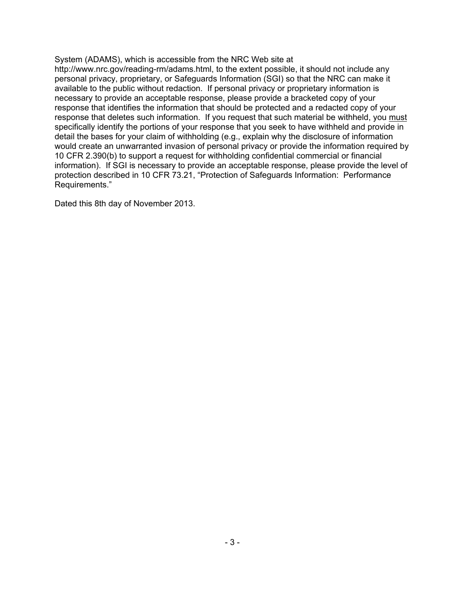System (ADAMS), which is accessible from the NRC Web site at http://www.nrc.gov/reading-rm/adams.html, to the extent possible, it should not include any personal privacy, proprietary, or Safeguards Information (SGI) so that the NRC can make it available to the public without redaction. If personal privacy or proprietary information is necessary to provide an acceptable response, please provide a bracketed copy of your response that identifies the information that should be protected and a redacted copy of your response that deletes such information. If you request that such material be withheld, you must specifically identify the portions of your response that you seek to have withheld and provide in detail the bases for your claim of withholding (e.g., explain why the disclosure of information would create an unwarranted invasion of personal privacy or provide the information required by 10 CFR 2.390(b) to support a request for withholding confidential commercial or financial information). If SGI is necessary to provide an acceptable response, please provide the level of protection described in 10 CFR 73.21, "Protection of Safeguards Information: Performance Requirements."

Dated this 8th day of November 2013.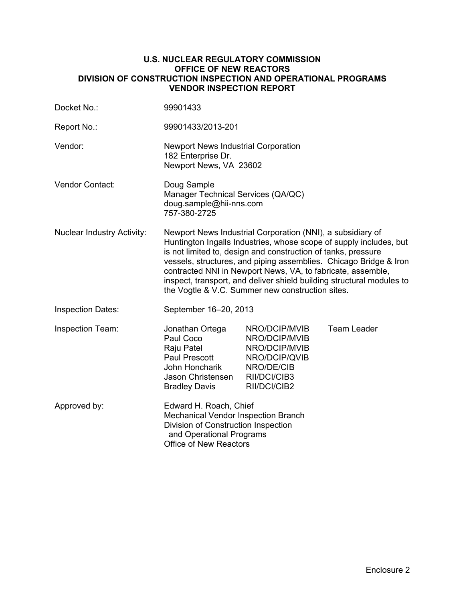### **U.S. NUCLEAR REGULATORY COMMISSION OFFICE OF NEW REACTORS DIVISION OF CONSTRUCTION INSPECTION AND OPERATIONAL PROGRAMS VENDOR INSPECTION REPORT**

| Docket No.:                       | 99901433                                                                                                                                                                                                                                                                                                                                                                                                                                                           |                                                                                                                |                    |  |
|-----------------------------------|--------------------------------------------------------------------------------------------------------------------------------------------------------------------------------------------------------------------------------------------------------------------------------------------------------------------------------------------------------------------------------------------------------------------------------------------------------------------|----------------------------------------------------------------------------------------------------------------|--------------------|--|
| Report No.:                       | 99901433/2013-201                                                                                                                                                                                                                                                                                                                                                                                                                                                  |                                                                                                                |                    |  |
| Vendor:                           | Newport News Industrial Corporation<br>182 Enterprise Dr.<br>Newport News, VA 23602                                                                                                                                                                                                                                                                                                                                                                                |                                                                                                                |                    |  |
| Vendor Contact:                   | Doug Sample<br>Manager Technical Services (QA/QC)<br>doug.sample@hii-nns.com<br>757-380-2725                                                                                                                                                                                                                                                                                                                                                                       |                                                                                                                |                    |  |
| <b>Nuclear Industry Activity:</b> | Newport News Industrial Corporation (NNI), a subsidiary of<br>Huntington Ingalls Industries, whose scope of supply includes, but<br>is not limited to, design and construction of tanks, pressure<br>vessels, structures, and piping assemblies. Chicago Bridge & Iron<br>contracted NNI in Newport News, VA, to fabricate, assemble,<br>inspect, transport, and deliver shield building structural modules to<br>the Vogtle & V.C. Summer new construction sites. |                                                                                                                |                    |  |
| <b>Inspection Dates:</b>          | September 16-20, 2013                                                                                                                                                                                                                                                                                                                                                                                                                                              |                                                                                                                |                    |  |
| Inspection Team:                  | Jonathan Ortega<br>Paul Coco<br>Raju Patel<br>Paul Prescott<br>John Honcharik<br>Jason Christensen<br><b>Bradley Davis</b>                                                                                                                                                                                                                                                                                                                                         | NRO/DCIP/MVIB<br>NRO/DCIP/MVIB<br>NRO/DCIP/MVIB<br>NRO/DCIP/QVIB<br>NRO/DE/CIB<br>RII/DCI/CIB3<br>RII/DCI/CIB2 | <b>Team Leader</b> |  |
| Approved by:                      | Edward H. Roach, Chief<br>Mechanical Vendor Inspection Branch<br>Division of Construction Inspection<br>and Operational Programs<br><b>Office of New Reactors</b>                                                                                                                                                                                                                                                                                                  |                                                                                                                |                    |  |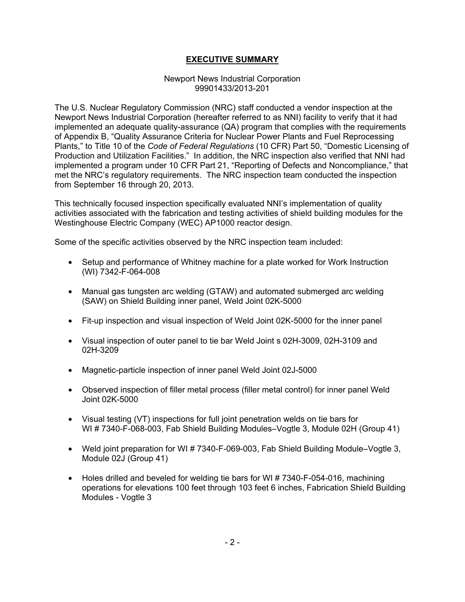## **EXECUTIVE SUMMARY**

### Newport News Industrial Corporation 99901433/2013-201

The U.S. Nuclear Regulatory Commission (NRC) staff conducted a vendor inspection at the Newport News Industrial Corporation (hereafter referred to as NNI) facility to verify that it had implemented an adequate quality-assurance (QA) program that complies with the requirements of Appendix B, "Quality Assurance Criteria for Nuclear Power Plants and Fuel Reprocessing Plants," to Title 10 of the *Code of Federal Regulations* (10 CFR) Part 50, "Domestic Licensing of Production and Utilization Facilities." In addition, the NRC inspection also verified that NNI had implemented a program under 10 CFR Part 21, "Reporting of Defects and Noncompliance," that met the NRC's regulatory requirements. The NRC inspection team conducted the inspection from September 16 through 20, 2013.

This technically focused inspection specifically evaluated NNI's implementation of quality activities associated with the fabrication and testing activities of shield building modules for the Westinghouse Electric Company (WEC) AP1000 reactor design.

Some of the specific activities observed by the NRC inspection team included:

- Setup and performance of Whitney machine for a plate worked for Work Instruction (WI) 7342-F-064-008
- Manual gas tungsten arc welding (GTAW) and automated submerged arc welding (SAW) on Shield Building inner panel, Weld Joint 02K-5000
- Fit-up inspection and visual inspection of Weld Joint 02K-5000 for the inner panel
- Visual inspection of outer panel to tie bar Weld Joint s 02H-3009, 02H-3109 and 02H-3209
- Magnetic-particle inspection of inner panel Weld Joint 02J-5000
- Observed inspection of filler metal process (filler metal control) for inner panel Weld Joint 02K-5000
- Visual testing (VT) inspections for full joint penetration welds on tie bars for WI # 7340-F-068-003, Fab Shield Building Modules–Vogtle 3, Module 02H (Group 41)
- Weld joint preparation for WI # 7340-F-069-003, Fab Shield Building Module–Vogtle 3, Module 02J (Group 41)
- Holes drilled and beveled for welding tie bars for WI #7340-F-054-016, machining operations for elevations 100 feet through 103 feet 6 inches, Fabrication Shield Building Modules - Vogtle 3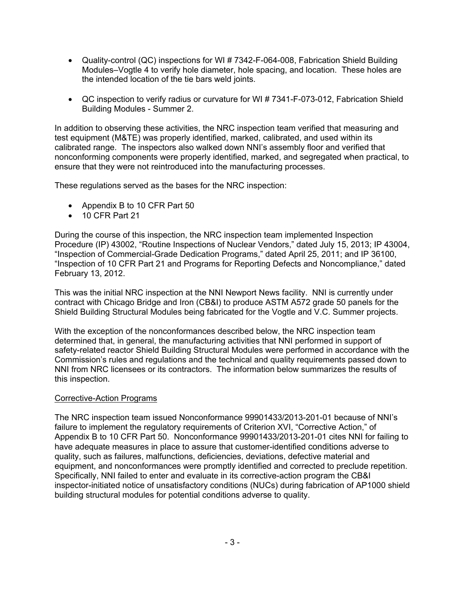- Quality-control (QC) inspections for WI # 7342-F-064-008, Fabrication Shield Building Modules–Vogtle 4 to verify hole diameter, hole spacing, and location. These holes are the intended location of the tie bars weld joints.
- QC inspection to verify radius or curvature for WI # 7341-F-073-012, Fabrication Shield Building Modules - Summer 2.

In addition to observing these activities, the NRC inspection team verified that measuring and test equipment (M&TE) was properly identified, marked, calibrated, and used within its calibrated range. The inspectors also walked down NNI's assembly floor and verified that nonconforming components were properly identified, marked, and segregated when practical, to ensure that they were not reintroduced into the manufacturing processes.

These regulations served as the bases for the NRC inspection:

- Appendix B to 10 CFR Part 50
- 10 CFR Part 21

During the course of this inspection, the NRC inspection team implemented Inspection Procedure (IP) 43002, "Routine Inspections of Nuclear Vendors," dated July 15, 2013; IP 43004, "Inspection of Commercial-Grade Dedication Programs," dated April 25, 2011; and IP 36100, "Inspection of 10 CFR Part 21 and Programs for Reporting Defects and Noncompliance," dated February 13, 2012.

This was the initial NRC inspection at the NNI Newport News facility. NNI is currently under contract with Chicago Bridge and Iron (CB&I) to produce ASTM A572 grade 50 panels for the Shield Building Structural Modules being fabricated for the Vogtle and V.C. Summer projects.

With the exception of the nonconformances described below, the NRC inspection team determined that, in general, the manufacturing activities that NNI performed in support of safety-related reactor Shield Building Structural Modules were performed in accordance with the Commission's rules and regulations and the technical and quality requirements passed down to NNI from NRC licensees or its contractors. The information below summarizes the results of this inspection.

## Corrective-Action Programs

The NRC inspection team issued Nonconformance 99901433/2013-201-01 because of NNI's failure to implement the regulatory requirements of Criterion XVI, "Corrective Action," of Appendix B to 10 CFR Part 50. Nonconformance 99901433/2013-201-01 cites NNI for failing to have adequate measures in place to assure that customer-identified conditions adverse to quality, such as failures, malfunctions, deficiencies, deviations, defective material and equipment, and nonconformances were promptly identified and corrected to preclude repetition. Specifically, NNI failed to enter and evaluate in its corrective-action program the CB&I inspector-initiated notice of unsatisfactory conditions (NUCs) during fabrication of AP1000 shield building structural modules for potential conditions adverse to quality.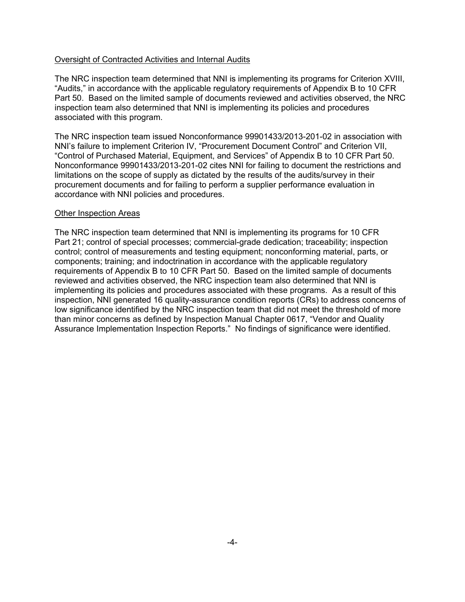## Oversight of Contracted Activities and Internal Audits

The NRC inspection team determined that NNI is implementing its programs for Criterion XVIII, "Audits," in accordance with the applicable regulatory requirements of Appendix B to 10 CFR Part 50. Based on the limited sample of documents reviewed and activities observed, the NRC inspection team also determined that NNI is implementing its policies and procedures associated with this program.

The NRC inspection team issued Nonconformance 99901433/2013-201-02 in association with NNI's failure to implement Criterion IV, "Procurement Document Control" and Criterion VII, "Control of Purchased Material, Equipment, and Services" of Appendix B to 10 CFR Part 50. Nonconformance 99901433/2013-201-02 cites NNI for failing to document the restrictions and limitations on the scope of supply as dictated by the results of the audits/survey in their procurement documents and for failing to perform a supplier performance evaluation in accordance with NNI policies and procedures.

#### Other Inspection Areas

The NRC inspection team determined that NNI is implementing its programs for 10 CFR Part 21; control of special processes; commercial-grade dedication; traceability; inspection control; control of measurements and testing equipment; nonconforming material, parts, or components; training; and indoctrination in accordance with the applicable regulatory requirements of Appendix B to 10 CFR Part 50. Based on the limited sample of documents reviewed and activities observed, the NRC inspection team also determined that NNI is implementing its policies and procedures associated with these programs. As a result of this inspection, NNI generated 16 quality-assurance condition reports (CRs) to address concerns of low significance identified by the NRC inspection team that did not meet the threshold of more than minor concerns as defined by Inspection Manual Chapter 0617, "Vendor and Quality Assurance Implementation Inspection Reports." No findings of significance were identified.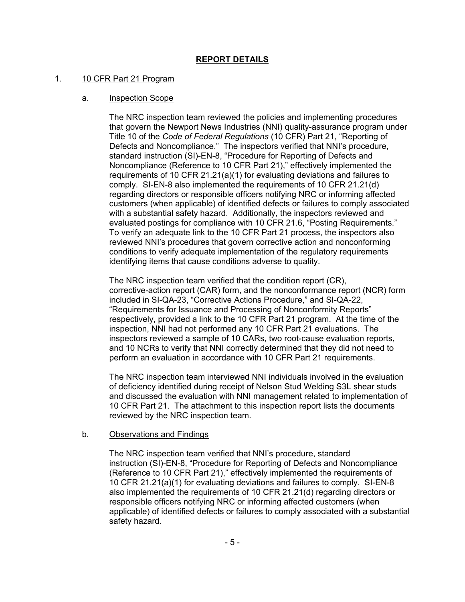## **REPORT DETAILS**

### 1. 10 CFR Part 21 Program

## a. Inspection Scope

The NRC inspection team reviewed the policies and implementing procedures that govern the Newport News Industries (NNI) quality-assurance program under Title 10 of the *Code of Federal Regulations* (10 CFR) Part 21, "Reporting of Defects and Noncompliance." The inspectors verified that NNI's procedure, standard instruction (SI)-EN-8, "Procedure for Reporting of Defects and Noncompliance (Reference to 10 CFR Part 21)," effectively implemented the requirements of 10 CFR 21.21(a)(1) for evaluating deviations and failures to comply. SI-EN-8 also implemented the requirements of 10 CFR 21.21(d) regarding directors or responsible officers notifying NRC or informing affected customers (when applicable) of identified defects or failures to comply associated with a substantial safety hazard. Additionally, the inspectors reviewed and evaluated postings for compliance with 10 CFR 21.6, "Posting Requirements." To verify an adequate link to the 10 CFR Part 21 process, the inspectors also reviewed NNI's procedures that govern corrective action and nonconforming conditions to verify adequate implementation of the regulatory requirements identifying items that cause conditions adverse to quality.

The NRC inspection team verified that the condition report (CR), corrective-action report (CAR) form, and the nonconformance report (NCR) form included in SI-QA-23, "Corrective Actions Procedure," and SI-QA-22, "Requirements for Issuance and Processing of Nonconformity Reports" respectively, provided a link to the 10 CFR Part 21 program. At the time of the inspection, NNI had not performed any 10 CFR Part 21 evaluations. The inspectors reviewed a sample of 10 CARs, two root-cause evaluation reports, and 10 NCRs to verify that NNI correctly determined that they did not need to perform an evaluation in accordance with 10 CFR Part 21 requirements.

The NRC inspection team interviewed NNI individuals involved in the evaluation of deficiency identified during receipt of Nelson Stud Welding S3L shear studs and discussed the evaluation with NNI management related to implementation of 10 CFR Part 21. The attachment to this inspection report lists the documents reviewed by the NRC inspection team.

## b. Observations and Findings

The NRC inspection team verified that NNI's procedure, standard instruction (SI)-EN-8, "Procedure for Reporting of Defects and Noncompliance (Reference to 10 CFR Part 21)," effectively implemented the requirements of 10 CFR 21.21(a)(1) for evaluating deviations and failures to comply. SI-EN-8 also implemented the requirements of 10 CFR 21.21(d) regarding directors or responsible officers notifying NRC or informing affected customers (when applicable) of identified defects or failures to comply associated with a substantial safety hazard.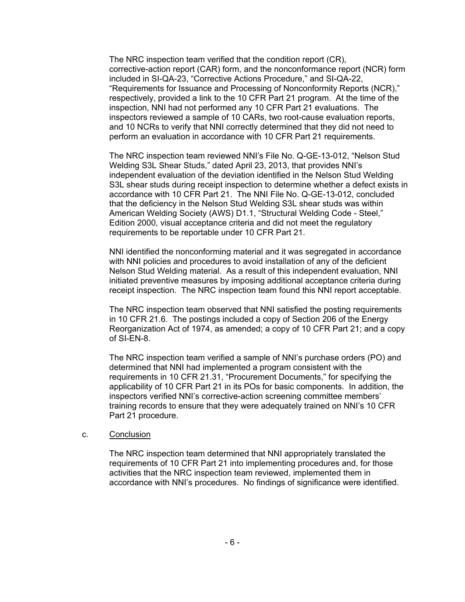The NRC inspection team verified that the condition report (CR), corrective-action report (CAR) form, and the nonconformance report (NCR) form included in SI-QA-23, "Corrective Actions Procedure," and SI-QA-22, "Requirements for Issuance and Processing of Nonconformity Reports (NCR)," respectively, provided a link to the 10 CFR Part 21 program. At the time of the inspection, NNI had not performed any 10 CFR Part 21 evaluations. The inspectors reviewed a sample of 10 CARs, two root-cause evaluation reports, and 10 NCRs to verify that NNI correctly determined that they did not need to perform an evaluation in accordance with 10 CFR Part 21 requirements.

The NRC inspection team reviewed NNI's File No. Q-GE-13-012, "Nelson Stud Welding S3L Shear Studs," dated April 23, 2013, that provides NNI's independent evaluation of the deviation identified in the Nelson Stud Welding S3L shear studs during receipt inspection to determine whether a defect exists in accordance with 10 CFR Part 21. The NNI File No. Q-GE-13-012, concluded that the deficiency in the Nelson Stud Welding S3L shear studs was within American Welding Society (AWS) D1.1, "Structural Welding Code - Steel," Edition 2000, visual acceptance criteria and did not meet the regulatory requirements to be reportable under 10 CFR Part 21.

NNI identified the nonconforming material and it was segregated in accordance with NNI policies and procedures to avoid installation of any of the deficient Nelson Stud Welding material. As a result of this independent evaluation, NNI initiated preventive measures by imposing additional acceptance criteria during receipt inspection. The NRC inspection team found this NNI report acceptable.

The NRC inspection team observed that NNI satisfied the posting requirements in 10 CFR 21.6. The postings included a copy of Section 206 of the Energy Reorganization Act of 1974, as amended; a copy of 10 CFR Part 21; and a copy of SI-EN-8.

The NRC inspection team verified a sample of NNI's purchase orders (PO) and determined that NNI had implemented a program consistent with the requirements in 10 CFR 21.31, "Procurement Documents," for specifying the applicability of 10 CFR Part 21 in its POs for basic components. In addition, the inspectors verified NNI's corrective-action screening committee members' training records to ensure that they were adequately trained on NNI's 10 CFR Part 21 procedure.

## c. Conclusion

The NRC inspection team determined that NNI appropriately translated the requirements of 10 CFR Part 21 into implementing procedures and, for those activities that the NRC inspection team reviewed, implemented them in accordance with NNI's procedures. No findings of significance were identified.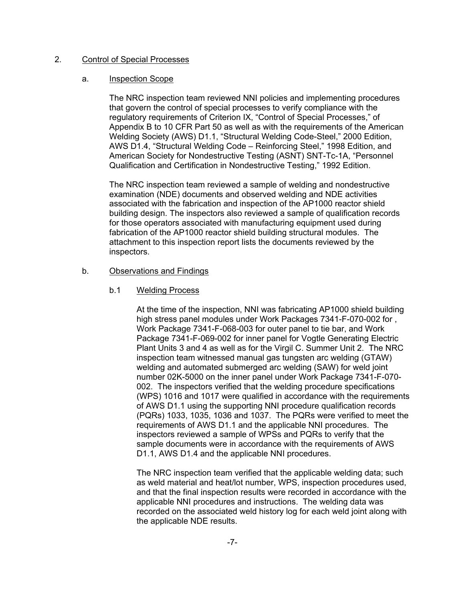### 2. Control of Special Processes

### a. Inspection Scope

The NRC inspection team reviewed NNI policies and implementing procedures that govern the control of special processes to verify compliance with the regulatory requirements of Criterion IX, "Control of Special Processes," of Appendix B to 10 CFR Part 50 as well as with the requirements of the American Welding Society (AWS) D1.1, "Structural Welding Code-Steel," 2000 Edition, AWS D1.4, "Structural Welding Code – Reinforcing Steel," 1998 Edition, and American Society for Nondestructive Testing (ASNT) SNT-Tc-1A, "Personnel Qualification and Certification in Nondestructive Testing," 1992 Edition.

The NRC inspection team reviewed a sample of welding and nondestructive examination (NDE) documents and observed welding and NDE activities associated with the fabrication and inspection of the AP1000 reactor shield building design. The inspectors also reviewed a sample of qualification records for those operators associated with manufacturing equipment used during fabrication of the AP1000 reactor shield building structural modules. The attachment to this inspection report lists the documents reviewed by the inspectors.

## b. Observations and Findings

### b.1 Welding Process

At the time of the inspection, NNI was fabricating AP1000 shield building high stress panel modules under Work Packages 7341-F-070-002 for , Work Package 7341-F-068-003 for outer panel to tie bar, and Work Package 7341-F-069-002 for inner panel for Vogtle Generating Electric Plant Units 3 and 4 as well as for the Virgil C. Summer Unit 2. The NRC inspection team witnessed manual gas tungsten arc welding (GTAW) welding and automated submerged arc welding (SAW) for weld joint number 02K-5000 on the inner panel under Work Package 7341-F-070- 002. The inspectors verified that the welding procedure specifications (WPS) 1016 and 1017 were qualified in accordance with the requirements of AWS D1.1 using the supporting NNI procedure qualification records (PQRs) 1033, 1035, 1036 and 1037. The PQRs were verified to meet the requirements of AWS D1.1 and the applicable NNI procedures. The inspectors reviewed a sample of WPSs and PQRs to verify that the sample documents were in accordance with the requirements of AWS D1.1, AWS D1.4 and the applicable NNI procedures.

The NRC inspection team verified that the applicable welding data; such as weld material and heat/lot number, WPS, inspection procedures used, and that the final inspection results were recorded in accordance with the applicable NNI procedures and instructions. The welding data was recorded on the associated weld history log for each weld joint along with the applicable NDE results.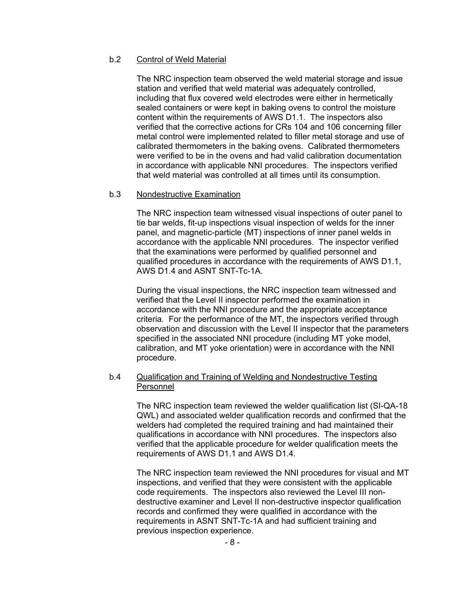## b.2 Control of Weld Material

The NRC inspection team observed the weld material storage and issue station and verified that weld material was adequately controlled, including that flux covered weld electrodes were either in hermetically sealed containers or were kept in baking ovens to control the moisture content within the requirements of AWS D1.1. The inspectors also verified that the corrective actions for CRs 104 and 106 concerning filler metal control were implemented related to filler metal storage and use of calibrated thermometers in the baking ovens. Calibrated thermometers were verified to be in the ovens and had valid calibration documentation in accordance with applicable NNI procedures. The inspectors verified that weld material was controlled at all times until its consumption.

### b.3 Nondestructive Examination

The NRC inspection team witnessed visual inspections of outer panel to tie bar welds, fit-up inspections visual inspection of welds for the inner panel, and magnetic-particle (MT) inspections of inner panel welds in accordance with the applicable NNI procedures. The inspector verified that the examinations were performed by qualified personnel and qualified procedures in accordance with the requirements of AWS D1.1, AWS D1.4 and ASNT SNT-Tc-1A.

During the visual inspections, the NRC inspection team witnessed and verified that the Level II inspector performed the examination in accordance with the NNI procedure and the appropriate acceptance criteria. For the performance of the MT, the inspectors verified through observation and discussion with the Level II inspector that the parameters specified in the associated NNI procedure (including MT yoke model, calibration, and MT yoke orientation) were in accordance with the NNI procedure.

### b.4 Qualification and Training of Welding and Nondestructive Testing Personnel

The NRC inspection team reviewed the welder qualification list (SI-QA-18 QWL) and associated welder qualification records and confirmed that the welders had completed the required training and had maintained their qualifications in accordance with NNI procedures. The inspectors also verified that the applicable procedure for welder qualification meets the requirements of AWS D1.1 and AWS D1.4.

The NRC inspection team reviewed the NNI procedures for visual and MT inspections, and verified that they were consistent with the applicable code requirements. The inspectors also reviewed the Level III nondestructive examiner and Level II non-destructive inspector qualification records and confirmed they were qualified in accordance with the requirements in ASNT SNT-Tc-1A and had sufficient training and previous inspection experience.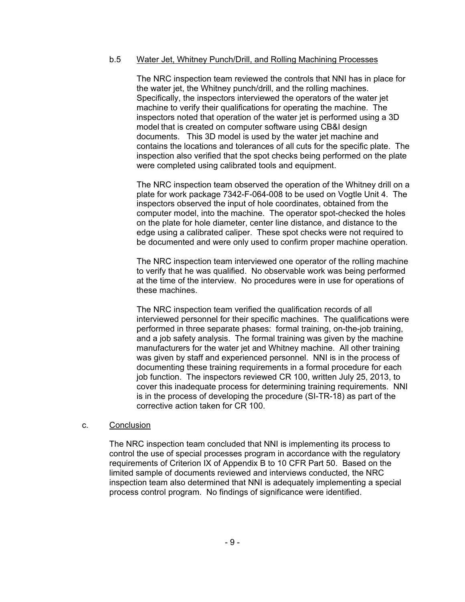### b.5 Water Jet, Whitney Punch/Drill, and Rolling Machining Processes

The NRC inspection team reviewed the controls that NNI has in place for the water jet, the Whitney punch/drill, and the rolling machines. Specifically, the inspectors interviewed the operators of the water jet machine to verify their qualifications for operating the machine. The inspectors noted that operation of the water jet is performed using a 3D model that is created on computer software using CB&I design documents. This 3D model is used by the water jet machine and contains the locations and tolerances of all cuts for the specific plate. The inspection also verified that the spot checks being performed on the plate were completed using calibrated tools and equipment.

The NRC inspection team observed the operation of the Whitney drill on a plate for work package 7342-F-064-008 to be used on Vogtle Unit 4. The inspectors observed the input of hole coordinates, obtained from the computer model, into the machine. The operator spot-checked the holes on the plate for hole diameter, center line distance, and distance to the edge using a calibrated caliper. These spot checks were not required to be documented and were only used to confirm proper machine operation.

The NRC inspection team interviewed one operator of the rolling machine to verify that he was qualified. No observable work was being performed at the time of the interview. No procedures were in use for operations of these machines.

The NRC inspection team verified the qualification records of all interviewed personnel for their specific machines. The qualifications were performed in three separate phases: formal training, on-the-job training, and a job safety analysis. The formal training was given by the machine manufacturers for the water jet and Whitney machine. All other training was given by staff and experienced personnel. NNI is in the process of documenting these training requirements in a formal procedure for each job function. The inspectors reviewed CR 100, written July 25, 2013, to cover this inadequate process for determining training requirements. NNI is in the process of developing the procedure (SI-TR-18) as part of the corrective action taken for CR 100.

#### c. Conclusion

The NRC inspection team concluded that NNI is implementing its process to control the use of special processes program in accordance with the regulatory requirements of Criterion IX of Appendix B to 10 CFR Part 50. Based on the limited sample of documents reviewed and interviews conducted, the NRC inspection team also determined that NNI is adequately implementing a special process control program. No findings of significance were identified.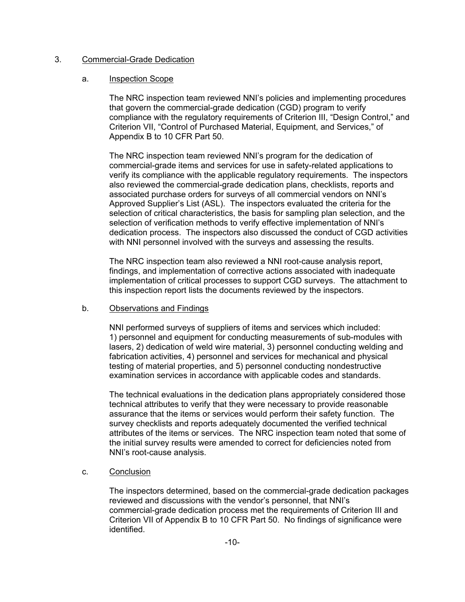### 3. Commercial-Grade Dedication

### a. Inspection Scope

The NRC inspection team reviewed NNI's policies and implementing procedures that govern the commercial-grade dedication (CGD) program to verify compliance with the regulatory requirements of Criterion III, "Design Control," and Criterion VII, "Control of Purchased Material, Equipment, and Services," of Appendix B to 10 CFR Part 50.

The NRC inspection team reviewed NNI's program for the dedication of commercial-grade items and services for use in safety-related applications to verify its compliance with the applicable regulatory requirements. The inspectors also reviewed the commercial-grade dedication plans, checklists, reports and associated purchase orders for surveys of all commercial vendors on NNI's Approved Supplier's List (ASL). The inspectors evaluated the criteria for the selection of critical characteristics, the basis for sampling plan selection, and the selection of verification methods to verify effective implementation of NNI's dedication process. The inspectors also discussed the conduct of CGD activities with NNI personnel involved with the surveys and assessing the results.

The NRC inspection team also reviewed a NNI root-cause analysis report, findings, and implementation of corrective actions associated with inadequate implementation of critical processes to support CGD surveys. The attachment to this inspection report lists the documents reviewed by the inspectors.

## b. Observations and Findings

NNI performed surveys of suppliers of items and services which included: 1) personnel and equipment for conducting measurements of sub-modules with lasers, 2) dedication of weld wire material, 3) personnel conducting welding and fabrication activities, 4) personnel and services for mechanical and physical testing of material properties, and 5) personnel conducting nondestructive examination services in accordance with applicable codes and standards.

The technical evaluations in the dedication plans appropriately considered those technical attributes to verify that they were necessary to provide reasonable assurance that the items or services would perform their safety function. The survey checklists and reports adequately documented the verified technical attributes of the items or services. The NRC inspection team noted that some of the initial survey results were amended to correct for deficiencies noted from NNI's root-cause analysis.

## c. Conclusion

The inspectors determined, based on the commercial-grade dedication packages reviewed and discussions with the vendor's personnel, that NNI's commercial-grade dedication process met the requirements of Criterion III and Criterion VII of Appendix B to 10 CFR Part 50. No findings of significance were identified.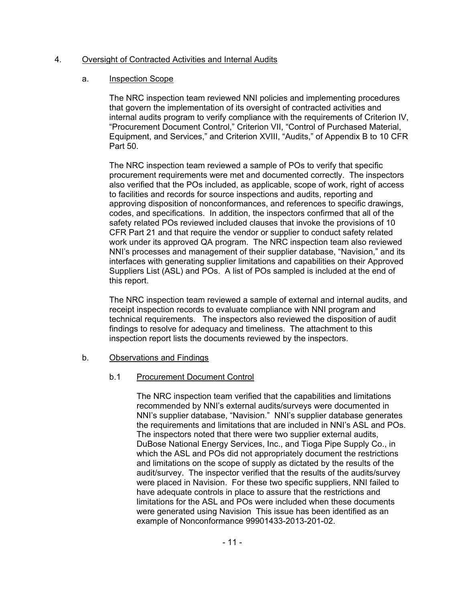## 4. Oversight of Contracted Activities and Internal Audits

### a. Inspection Scope

The NRC inspection team reviewed NNI policies and implementing procedures that govern the implementation of its oversight of contracted activities and internal audits program to verify compliance with the requirements of Criterion IV, "Procurement Document Control," Criterion VII, "Control of Purchased Material, Equipment, and Services," and Criterion XVIII, "Audits," of Appendix B to 10 CFR Part 50.

The NRC inspection team reviewed a sample of POs to verify that specific procurement requirements were met and documented correctly. The inspectors also verified that the POs included, as applicable, scope of work, right of access to facilities and records for source inspections and audits, reporting and approving disposition of nonconformances, and references to specific drawings, codes, and specifications. In addition, the inspectors confirmed that all of the safety related POs reviewed included clauses that invoke the provisions of 10 CFR Part 21 and that require the vendor or supplier to conduct safety related work under its approved QA program. The NRC inspection team also reviewed NNI's processes and management of their supplier database, "Navision," and its interfaces with generating supplier limitations and capabilities on their Approved Suppliers List (ASL) and POs. A list of POs sampled is included at the end of this report.

The NRC inspection team reviewed a sample of external and internal audits, and receipt inspection records to evaluate compliance with NNI program and technical requirements. The inspectors also reviewed the disposition of audit findings to resolve for adequacy and timeliness. The attachment to this inspection report lists the documents reviewed by the inspectors.

## b. Observations and Findings

## b.1 Procurement Document Control

The NRC inspection team verified that the capabilities and limitations recommended by NNI's external audits/surveys were documented in NNI's supplier database, "Navision." NNI's supplier database generates the requirements and limitations that are included in NNI's ASL and POs. The inspectors noted that there were two supplier external audits, DuBose National Energy Services, Inc., and Tioga Pipe Supply Co., in which the ASL and POs did not appropriately document the restrictions and limitations on the scope of supply as dictated by the results of the audit/survey. The inspector verified that the results of the audits/survey were placed in Navision. For these two specific suppliers, NNI failed to have adequate controls in place to assure that the restrictions and limitations for the ASL and POs were included when these documents were generated using Navision This issue has been identified as an example of Nonconformance 99901433-2013-201-02.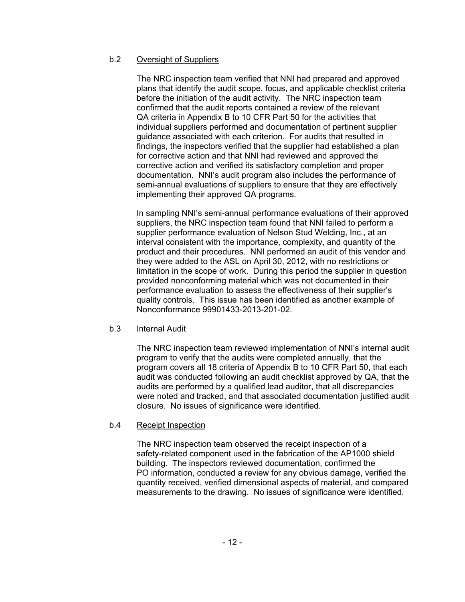## b.2 Oversight of Suppliers

The NRC inspection team verified that NNI had prepared and approved plans that identify the audit scope, focus, and applicable checklist criteria before the initiation of the audit activity. The NRC inspection team confirmed that the audit reports contained a review of the relevant QA criteria in Appendix B to 10 CFR Part 50 for the activities that individual suppliers performed and documentation of pertinent supplier guidance associated with each criterion. For audits that resulted in findings, the inspectors verified that the supplier had established a plan for corrective action and that NNI had reviewed and approved the corrective action and verified its satisfactory completion and proper documentation. NNI's audit program also includes the performance of semi-annual evaluations of suppliers to ensure that they are effectively implementing their approved QA programs.

In sampling NNI's semi-annual performance evaluations of their approved suppliers, the NRC inspection team found that NNI failed to perform a supplier performance evaluation of Nelson Stud Welding, Inc., at an interval consistent with the importance, complexity, and quantity of the product and their procedures. NNI performed an audit of this vendor and they were added to the ASL on April 30, 2012, with no restrictions or limitation in the scope of work. During this period the supplier in question provided nonconforming material which was not documented in their performance evaluation to assess the effectiveness of their supplier's quality controls. This issue has been identified as another example of Nonconformance 99901433-2013-201-02.

## b.3 Internal Audit

The NRC inspection team reviewed implementation of NNI's internal audit program to verify that the audits were completed annually, that the program covers all 18 criteria of Appendix B to 10 CFR Part 50, that each audit was conducted following an audit checklist approved by QA, that the audits are performed by a qualified lead auditor, that all discrepancies were noted and tracked, and that associated documentation justified audit closure. No issues of significance were identified.

## b.4 Receipt Inspection

The NRC inspection team observed the receipt inspection of a safety-related component used in the fabrication of the AP1000 shield building. The inspectors reviewed documentation, confirmed the PO information, conducted a review for any obvious damage, verified the quantity received, verified dimensional aspects of material, and compared measurements to the drawing. No issues of significance were identified.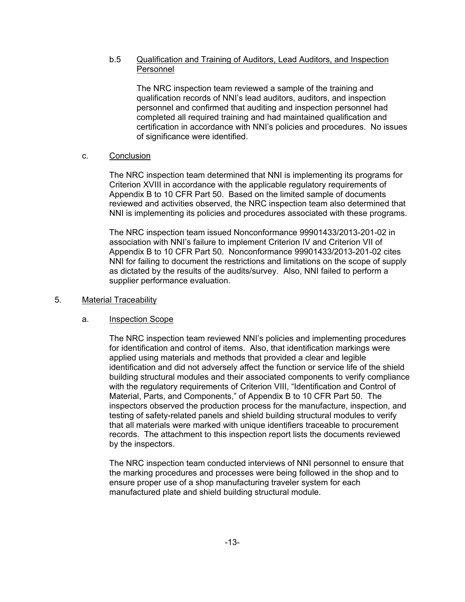## b.5 Qualification and Training of Auditors, Lead Auditors, and Inspection Personnel

The NRC inspection team reviewed a sample of the training and qualification records of NNI's lead auditors, auditors, and inspection personnel and confirmed that auditing and inspection personnel had completed all required training and had maintained qualification and certification in accordance with NNI's policies and procedures. No issues of significance were identified.

## c. Conclusion

The NRC inspection team determined that NNI is implementing its programs for Criterion XVIII in accordance with the applicable regulatory requirements of Appendix B to 10 CFR Part 50. Based on the limited sample of documents reviewed and activities observed, the NRC inspection team also determined that NNI is implementing its policies and procedures associated with these programs.

The NRC inspection team issued Nonconformance 99901433/2013-201-02 in association with NNI's failure to implement Criterion IV and Criterion VII of Appendix B to 10 CFR Part 50. Nonconformance 99901433/2013-201-02 cites NNI for failing to document the restrictions and limitations on the scope of supply as dictated by the results of the audits/survey. Also, NNI failed to perform a supplier performance evaluation.

## 5. Material Traceability

## a. Inspection Scope

The NRC inspection team reviewed NNI's policies and implementing procedures for identification and control of items. Also, that identification markings were applied using materials and methods that provided a clear and legible identification and did not adversely affect the function or service life of the shield building structural modules and their associated components to verify compliance with the regulatory requirements of Criterion VIII, "Identification and Control of Material, Parts, and Components," of Appendix B to 10 CFR Part 50. The inspectors observed the production process for the manufacture, inspection, and testing of safety-related panels and shield building structural modules to verify that all materials were marked with unique identifiers traceable to procurement records. The attachment to this inspection report lists the documents reviewed by the inspectors.

The NRC inspection team conducted interviews of NNI personnel to ensure that the marking procedures and processes were being followed in the shop and to ensure proper use of a shop manufacturing traveler system for each manufactured plate and shield building structural module.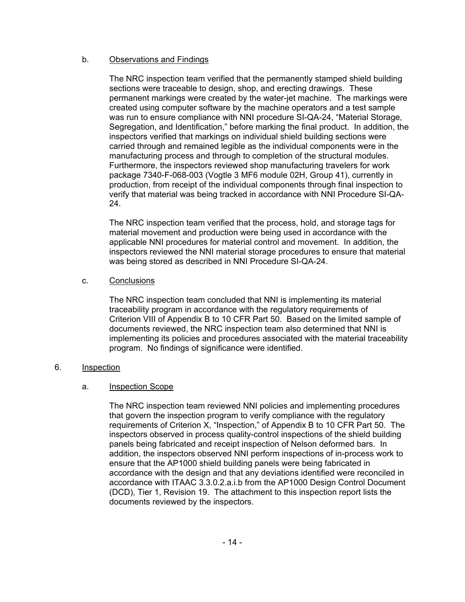## b. Observations and Findings

The NRC inspection team verified that the permanently stamped shield building sections were traceable to design, shop, and erecting drawings. These permanent markings were created by the water-jet machine. The markings were created using computer software by the machine operators and a test sample was run to ensure compliance with NNI procedure SI-QA-24, "Material Storage, Segregation, and Identification," before marking the final product. In addition, the inspectors verified that markings on individual shield building sections were carried through and remained legible as the individual components were in the manufacturing process and through to completion of the structural modules. Furthermore, the inspectors reviewed shop manufacturing travelers for work package 7340-F-068-003 (Vogtle 3 MF6 module 02H, Group 41), currently in production, from receipt of the individual components through final inspection to verify that material was being tracked in accordance with NNI Procedure SI-QA-24.

The NRC inspection team verified that the process, hold, and storage tags for material movement and production were being used in accordance with the applicable NNI procedures for material control and movement. In addition, the inspectors reviewed the NNI material storage procedures to ensure that material was being stored as described in NNI Procedure SI-QA-24.

## c. Conclusions

The NRC inspection team concluded that NNI is implementing its material traceability program in accordance with the regulatory requirements of Criterion VIII of Appendix B to 10 CFR Part 50. Based on the limited sample of documents reviewed, the NRC inspection team also determined that NNI is implementing its policies and procedures associated with the material traceability program. No findings of significance were identified.

## 6. Inspection

## a. Inspection Scope

The NRC inspection team reviewed NNI policies and implementing procedures that govern the inspection program to verify compliance with the regulatory requirements of Criterion X, "Inspection," of Appendix B to 10 CFR Part 50. The inspectors observed in process quality-control inspections of the shield building panels being fabricated and receipt inspection of Nelson deformed bars. In addition, the inspectors observed NNI perform inspections of in-process work to ensure that the AP1000 shield building panels were being fabricated in accordance with the design and that any deviations identified were reconciled in accordance with ITAAC 3.3.0.2.a.i.b from the AP1000 Design Control Document (DCD), Tier 1, Revision 19. The attachment to this inspection report lists the documents reviewed by the inspectors.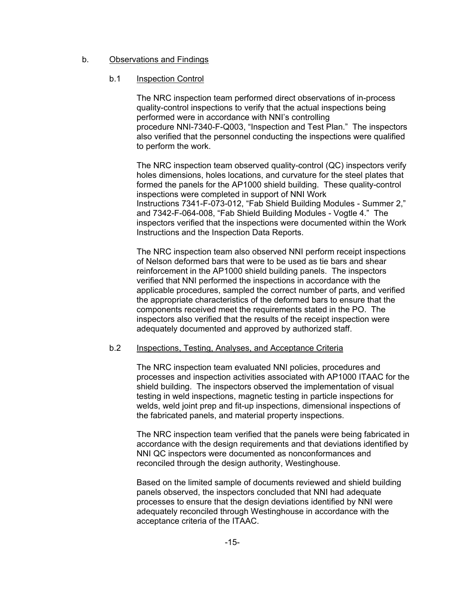## b. Observations and Findings

### b.1 Inspection Control

The NRC inspection team performed direct observations of in-process quality-control inspections to verify that the actual inspections being performed were in accordance with NNI's controlling procedure NNI-7340-F-Q003, "Inspection and Test Plan." The inspectors also verified that the personnel conducting the inspections were qualified to perform the work.

The NRC inspection team observed quality-control (QC) inspectors verify holes dimensions, holes locations, and curvature for the steel plates that formed the panels for the AP1000 shield building. These quality-control inspections were completed in support of NNI Work Instructions 7341-F-073-012, "Fab Shield Building Modules - Summer 2," and 7342-F-064-008, "Fab Shield Building Modules - Vogtle 4." The inspectors verified that the inspections were documented within the Work Instructions and the Inspection Data Reports.

The NRC inspection team also observed NNI perform receipt inspections of Nelson deformed bars that were to be used as tie bars and shear reinforcement in the AP1000 shield building panels. The inspectors verified that NNI performed the inspections in accordance with the applicable procedures, sampled the correct number of parts, and verified the appropriate characteristics of the deformed bars to ensure that the components received meet the requirements stated in the PO. The inspectors also verified that the results of the receipt inspection were adequately documented and approved by authorized staff.

#### b.2 Inspections, Testing, Analyses, and Acceptance Criteria

The NRC inspection team evaluated NNI policies, procedures and processes and inspection activities associated with AP1000 ITAAC for the shield building. The inspectors observed the implementation of visual testing in weld inspections, magnetic testing in particle inspections for welds, weld joint prep and fit-up inspections, dimensional inspections of the fabricated panels, and material property inspections.

The NRC inspection team verified that the panels were being fabricated in accordance with the design requirements and that deviations identified by NNI QC inspectors were documented as nonconformances and reconciled through the design authority, Westinghouse.

Based on the limited sample of documents reviewed and shield building panels observed, the inspectors concluded that NNI had adequate processes to ensure that the design deviations identified by NNI were adequately reconciled through Westinghouse in accordance with the acceptance criteria of the ITAAC.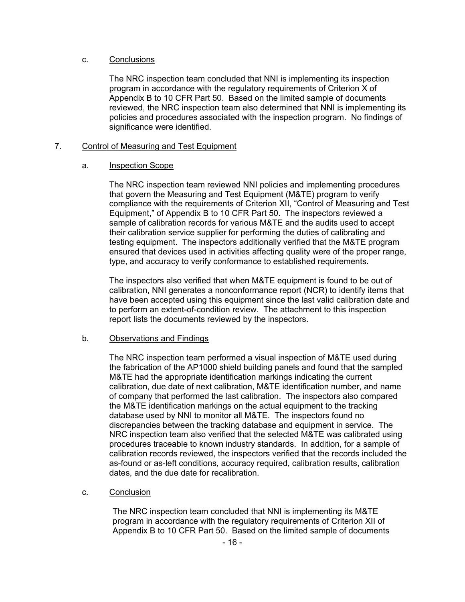## c. Conclusions

The NRC inspection team concluded that NNI is implementing its inspection program in accordance with the regulatory requirements of Criterion X of Appendix B to 10 CFR Part 50. Based on the limited sample of documents reviewed, the NRC inspection team also determined that NNI is implementing its policies and procedures associated with the inspection program. No findings of significance were identified.

## 7. Control of Measuring and Test Equipment

## a. Inspection Scope

The NRC inspection team reviewed NNI policies and implementing procedures that govern the Measuring and Test Equipment (M&TE) program to verify compliance with the requirements of Criterion XII, "Control of Measuring and Test Equipment," of Appendix B to 10 CFR Part 50. The inspectors reviewed a sample of calibration records for various M&TE and the audits used to accept their calibration service supplier for performing the duties of calibrating and testing equipment. The inspectors additionally verified that the M&TE program ensured that devices used in activities affecting quality were of the proper range, type, and accuracy to verify conformance to established requirements.

The inspectors also verified that when M&TE equipment is found to be out of calibration, NNI generates a nonconformance report (NCR) to identify items that have been accepted using this equipment since the last valid calibration date and to perform an extent-of-condition review. The attachment to this inspection report lists the documents reviewed by the inspectors.

## b. Observations and Findings

The NRC inspection team performed a visual inspection of M&TE used during the fabrication of the AP1000 shield building panels and found that the sampled M&TE had the appropriate identification markings indicating the current calibration, due date of next calibration, M&TE identification number, and name of company that performed the last calibration. The inspectors also compared the M&TE identification markings on the actual equipment to the tracking database used by NNI to monitor all M&TE. The inspectors found no discrepancies between the tracking database and equipment in service. The NRC inspection team also verified that the selected M&TE was calibrated using procedures traceable to known industry standards. In addition, for a sample of calibration records reviewed, the inspectors verified that the records included the as-found or as-left conditions, accuracy required, calibration results, calibration dates, and the due date for recalibration.

## c. Conclusion

The NRC inspection team concluded that NNI is implementing its M&TE program in accordance with the regulatory requirements of Criterion XII of Appendix B to 10 CFR Part 50. Based on the limited sample of documents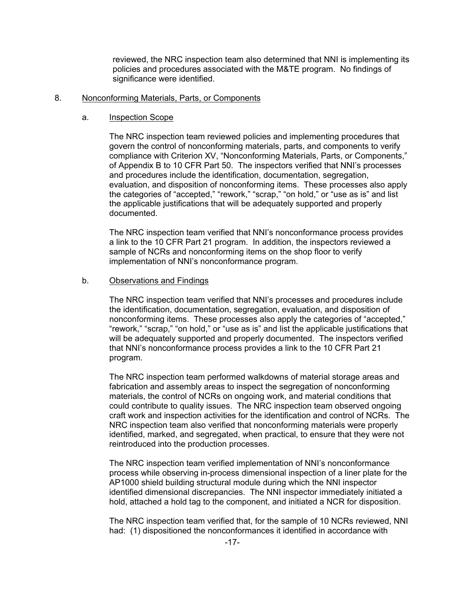reviewed, the NRC inspection team also determined that NNI is implementing its policies and procedures associated with the M&TE program. No findings of significance were identified.

#### 8. Nonconforming Materials, Parts, or Components

#### a. Inspection Scope

The NRC inspection team reviewed policies and implementing procedures that govern the control of nonconforming materials, parts, and components to verify compliance with Criterion XV, "Nonconforming Materials, Parts, or Components," of Appendix B to 10 CFR Part 50. The inspectors verified that NNI's processes and procedures include the identification, documentation, segregation, evaluation, and disposition of nonconforming items. These processes also apply the categories of "accepted," "rework," "scrap," "on hold," or "use as is" and list the applicable justifications that will be adequately supported and properly documented.

The NRC inspection team verified that NNI's nonconformance process provides a link to the 10 CFR Part 21 program. In addition, the inspectors reviewed a sample of NCRs and nonconforming items on the shop floor to verify implementation of NNI's nonconformance program.

#### b. Observations and Findings

The NRC inspection team verified that NNI's processes and procedures include the identification, documentation, segregation, evaluation, and disposition of nonconforming items. These processes also apply the categories of "accepted," "rework," "scrap," "on hold," or "use as is" and list the applicable justifications that will be adequately supported and properly documented. The inspectors verified that NNI's nonconformance process provides a link to the 10 CFR Part 21 program.

The NRC inspection team performed walkdowns of material storage areas and fabrication and assembly areas to inspect the segregation of nonconforming materials, the control of NCRs on ongoing work, and material conditions that could contribute to quality issues. The NRC inspection team observed ongoing craft work and inspection activities for the identification and control of NCRs. The NRC inspection team also verified that nonconforming materials were properly identified, marked, and segregated, when practical, to ensure that they were not reintroduced into the production processes.

The NRC inspection team verified implementation of NNI's nonconformance process while observing in-process dimensional inspection of a liner plate for the AP1000 shield building structural module during which the NNI inspector identified dimensional discrepancies. The NNI inspector immediately initiated a hold, attached a hold tag to the component, and initiated a NCR for disposition.

The NRC inspection team verified that, for the sample of 10 NCRs reviewed, NNI had: (1) dispositioned the nonconformances it identified in accordance with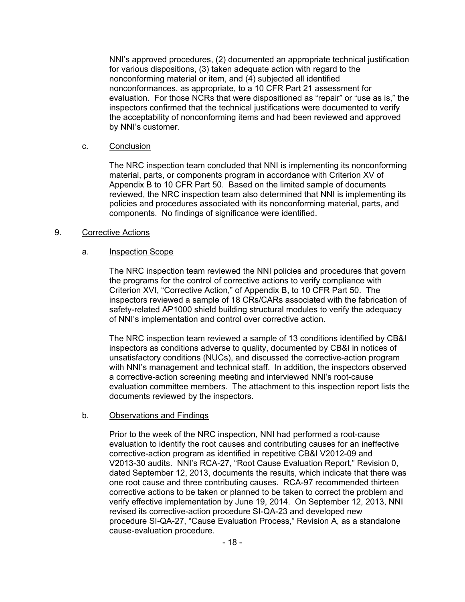NNI's approved procedures, (2) documented an appropriate technical justification for various dispositions, (3) taken adequate action with regard to the nonconforming material or item, and (4) subjected all identified nonconformances, as appropriate, to a 10 CFR Part 21 assessment for evaluation. For those NCRs that were dispositioned as "repair" or "use as is," the inspectors confirmed that the technical justifications were documented to verify the acceptability of nonconforming items and had been reviewed and approved by NNI's customer.

## c. Conclusion

The NRC inspection team concluded that NNI is implementing its nonconforming material, parts, or components program in accordance with Criterion XV of Appendix B to 10 CFR Part 50. Based on the limited sample of documents reviewed, the NRC inspection team also determined that NNI is implementing its policies and procedures associated with its nonconforming material, parts, and components. No findings of significance were identified.

### 9. Corrective Actions

### a. Inspection Scope

The NRC inspection team reviewed the NNI policies and procedures that govern the programs for the control of corrective actions to verify compliance with Criterion XVI, "Corrective Action," of Appendix B, to 10 CFR Part 50. The inspectors reviewed a sample of 18 CRs/CARs associated with the fabrication of safety-related AP1000 shield building structural modules to verify the adequacy of NNI's implementation and control over corrective action.

The NRC inspection team reviewed a sample of 13 conditions identified by CB&I inspectors as conditions adverse to quality, documented by CB&I in notices of unsatisfactory conditions (NUCs), and discussed the corrective-action program with NNI's management and technical staff. In addition, the inspectors observed a corrective-action screening meeting and interviewed NNI's root-cause evaluation committee members. The attachment to this inspection report lists the documents reviewed by the inspectors.

## b. Observations and Findings

Prior to the week of the NRC inspection, NNI had performed a root-cause evaluation to identify the root causes and contributing causes for an ineffective corrective-action program as identified in repetitive CB&I V2012-09 and V2013-30 audits. NNI's RCA-27, "Root Cause Evaluation Report," Revision 0, dated September 12, 2013, documents the results, which indicate that there was one root cause and three contributing causes. RCA-97 recommended thirteen corrective actions to be taken or planned to be taken to correct the problem and verify effective implementation by June 19, 2014. On September 12, 2013, NNI revised its corrective-action procedure SI-QA-23 and developed new procedure SI-QA-27, "Cause Evaluation Process," Revision A, as a standalone cause-evaluation procedure.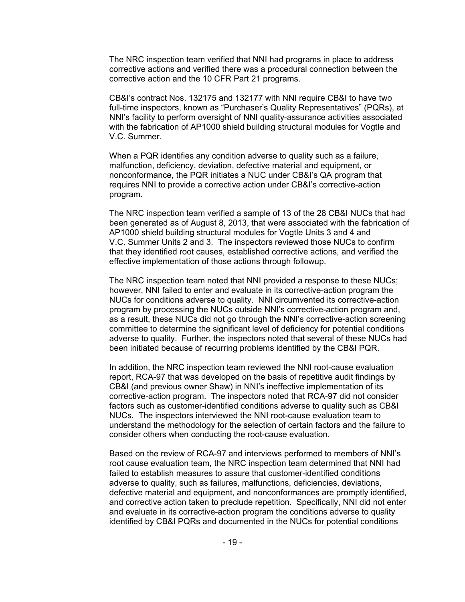The NRC inspection team verified that NNI had programs in place to address corrective actions and verified there was a procedural connection between the corrective action and the 10 CFR Part 21 programs.

CB&I's contract Nos. 132175 and 132177 with NNI require CB&I to have two full-time inspectors, known as "Purchaser's Quality Representatives" (PQRs), at NNI's facility to perform oversight of NNI quality-assurance activities associated with the fabrication of AP1000 shield building structural modules for Vogtle and V.C. Summer.

When a PQR identifies any condition adverse to quality such as a failure, malfunction, deficiency, deviation, defective material and equipment, or nonconformance, the PQR initiates a NUC under CB&I's QA program that requires NNI to provide a corrective action under CB&I's corrective-action program.

The NRC inspection team verified a sample of 13 of the 28 CB&I NUCs that had been generated as of August 8, 2013, that were associated with the fabrication of AP1000 shield building structural modules for Vogtle Units 3 and 4 and V.C. Summer Units 2 and 3. The inspectors reviewed those NUCs to confirm that they identified root causes, established corrective actions, and verified the effective implementation of those actions through followup.

The NRC inspection team noted that NNI provided a response to these NUCs; however, NNI failed to enter and evaluate in its corrective-action program the NUCs for conditions adverse to quality. NNI circumvented its corrective-action program by processing the NUCs outside NNI's corrective-action program and, as a result, these NUCs did not go through the NNI's corrective-action screening committee to determine the significant level of deficiency for potential conditions adverse to quality. Further, the inspectors noted that several of these NUCs had been initiated because of recurring problems identified by the CB&I PQR.

In addition, the NRC inspection team reviewed the NNI root-cause evaluation report, RCA-97 that was developed on the basis of repetitive audit findings by CB&I (and previous owner Shaw) in NNI's ineffective implementation of its corrective-action program. The inspectors noted that RCA-97 did not consider factors such as customer-identified conditions adverse to quality such as CB&I NUCs. The inspectors interviewed the NNI root-cause evaluation team to understand the methodology for the selection of certain factors and the failure to consider others when conducting the root-cause evaluation.

Based on the review of RCA-97 and interviews performed to members of NNI's root cause evaluation team, the NRC inspection team determined that NNI had failed to establish measures to assure that customer-identified conditions adverse to quality, such as failures, malfunctions, deficiencies, deviations, defective material and equipment, and nonconformances are promptly identified, and corrective action taken to preclude repetition. Specifically, NNI did not enter and evaluate in its corrective-action program the conditions adverse to quality identified by CB&I PQRs and documented in the NUCs for potential conditions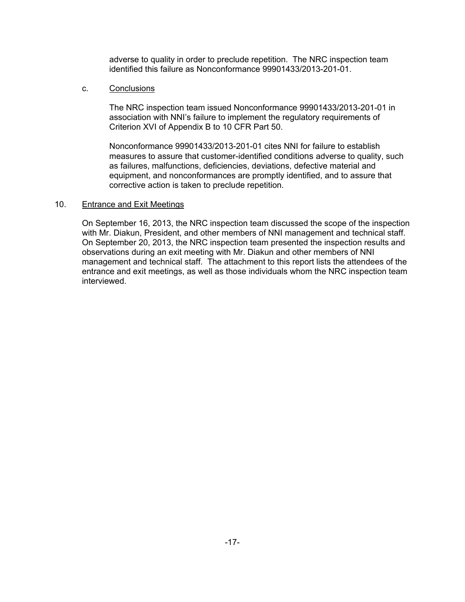adverse to quality in order to preclude repetition. The NRC inspection team identified this failure as Nonconformance 99901433/2013-201-01.

### c. Conclusions

The NRC inspection team issued Nonconformance 99901433/2013-201-01 in association with NNI's failure to implement the regulatory requirements of Criterion XVI of Appendix B to 10 CFR Part 50.

Nonconformance 99901433/2013-201-01 cites NNI for failure to establish measures to assure that customer-identified conditions adverse to quality, such as failures, malfunctions, deficiencies, deviations, defective material and equipment, and nonconformances are promptly identified, and to assure that corrective action is taken to preclude repetition.

## 10. Entrance and Exit Meetings

On September 16, 2013, the NRC inspection team discussed the scope of the inspection with Mr. Diakun, President, and other members of NNI management and technical staff. On September 20, 2013, the NRC inspection team presented the inspection results and observations during an exit meeting with Mr. Diakun and other members of NNI management and technical staff. The attachment to this report lists the attendees of the entrance and exit meetings, as well as those individuals whom the NRC inspection team interviewed.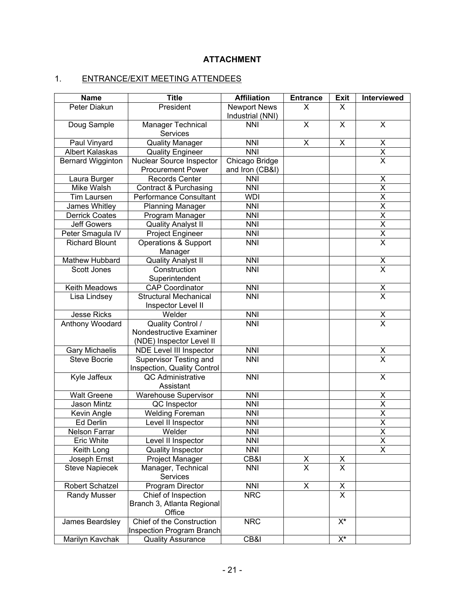# **ATTACHMENT**

# 1. ENTRANCE/EXIT MEETING ATTENDEES

| <b>Name</b>                            | <b>Title</b>                         | <b>Affiliation</b>  | <b>Entrance</b>         | <b>Exit</b>                               | Interviewed                         |
|----------------------------------------|--------------------------------------|---------------------|-------------------------|-------------------------------------------|-------------------------------------|
| Peter Diakun                           | President                            | <b>Newport News</b> | X                       | X                                         |                                     |
|                                        |                                      | Industrial (NNI)    |                         |                                           |                                     |
| Doug Sample                            | Manager Technical                    | <b>NNI</b>          | X                       | X                                         | X                                   |
|                                        | <b>Services</b>                      |                     |                         |                                           |                                     |
| Paul Vinyard<br><b>Quality Manager</b> |                                      | $\overline{NN}$     | X                       | Χ                                         | $\overline{\mathsf{X}}$             |
| Albert Kalaskas                        | <b>Quality Engineer</b>              | <b>NNI</b>          |                         |                                           | $\overline{\mathsf{x}}$             |
| Bernard Wigginton                      | Nuclear Source Inspector             | Chicago Bridge      |                         |                                           | $\overline{\mathsf{x}}$             |
|                                        | <b>Procurement Power</b>             | and Iron (CB&I)     |                         |                                           |                                     |
| Laura Burger                           | <b>Records Center</b>                | <b>NNI</b>          |                         |                                           | X                                   |
| Mike Walsh                             | Contract & Purchasing                | <b>NNI</b>          |                         |                                           | $\overline{\mathsf{X}}$             |
| Tim Laursen                            | Performance Consultant               | <b>WDI</b>          |                         |                                           | $\overline{\mathsf{x}}$             |
| James Whitley                          | <b>Planning Manager</b>              | <b>NNI</b>          |                         |                                           | $\overline{\mathsf{X}}$             |
| <b>Derrick Coates</b>                  | Program Manager                      | <b>NNI</b>          |                         |                                           | $\overline{\mathsf{x}}$             |
| <b>Jeff Gowers</b>                     | <b>Quality Analyst II</b>            | <b>NNI</b>          |                         |                                           | $\overline{\mathsf{X}}$             |
| Peter Smagula IV                       | Project Engineer                     | <b>NNI</b>          |                         |                                           | $\frac{\overline{x}}{\overline{x}}$ |
| <b>Richard Blount</b>                  | Operations & Support                 | <b>NNI</b>          |                         |                                           |                                     |
|                                        | Manager                              |                     |                         |                                           |                                     |
| Mathew Hubbard                         | <b>Quality Analyst II</b>            | <b>NNI</b>          |                         |                                           | $\frac{x}{x}$                       |
| Scott Jones                            | Construction                         | <b>NNI</b>          |                         |                                           |                                     |
|                                        | Superintendent                       |                     |                         |                                           |                                     |
| Keith Meadows                          | <b>CAP Coordinator</b>               | $\overline{NNI}$    |                         |                                           | $\frac{x}{x}$                       |
| Lisa Lindsey                           | <b>Structural Mechanical</b>         | <b>NNI</b>          |                         |                                           |                                     |
|                                        | Inspector Level II                   |                     |                         |                                           |                                     |
| <b>Jesse Ricks</b>                     | Welder                               | <b>NNI</b>          |                         |                                           | $\frac{x}{x}$                       |
| Anthony Woodard                        | Quality Control /                    | <b>NNI</b>          |                         |                                           |                                     |
|                                        | Nondestructive Examiner              |                     |                         |                                           |                                     |
|                                        | (NDE) Inspector Level II             |                     |                         |                                           |                                     |
| Gary Michaelis                         | NDE Level III Inspector              | <b>NNI</b>          |                         |                                           | X                                   |
| <b>Steve Bocrie</b>                    | Supervisor Testing and               | <b>NNI</b>          |                         |                                           | $\overline{\mathsf{x}}$             |
|                                        | Inspection, Quality Control          |                     |                         |                                           |                                     |
| Kyle Jaffeux                           | <b>QC</b> Administrative             | <b>NNI</b>          |                         |                                           | $\overline{\mathsf{x}}$             |
|                                        | Assistant                            |                     |                         |                                           |                                     |
| <b>Walt Greene</b>                     | Warehouse Supervisor                 | <b>NNI</b>          |                         |                                           | X                                   |
| Jason Mintz                            | QC Inspector                         | <b>NNI</b>          |                         |                                           | X                                   |
| Kevin Angle                            | <b>Welding Foreman</b>               | <b>NNI</b>          |                         |                                           | $\overline{X}$                      |
| <b>Ed Derlin</b>                       | Level II Inspector                   | <b>NNI</b>          |                         |                                           | X                                   |
| Nelson Farrar                          | Welder                               | <b>NNI</b>          |                         |                                           | $\overline{X}$                      |
| Eric White                             | Level II Inspector                   | <b>NNI</b>          |                         |                                           | X                                   |
| Keith Long                             | Quality Inspector                    | <b>NNI</b>          |                         |                                           | X.                                  |
| Joseph Ernst                           | <b>Project Manager</b>               | CB&I                | X                       | X                                         |                                     |
| <b>Steve Napiecek</b>                  | Manager, Technical                   | <b>NNI</b>          | $\overline{\mathsf{x}}$ | X.                                        |                                     |
|                                        | Services                             |                     |                         |                                           |                                     |
| Robert Schatzel                        | Program Director                     | <b>NNI</b>          | X                       | $\overline{X}$<br>$\overline{\mathsf{x}}$ |                                     |
| Randy Musser                           | Chief of Inspection                  | <b>NRC</b>          |                         |                                           |                                     |
|                                        | Branch 3, Atlanta Regional<br>Office |                     |                         |                                           |                                     |
| James Beardsley                        | Chief of the Construction            | <b>NRC</b>          |                         | $\overline{\mathsf{X}^*}$                 |                                     |
|                                        | Inspection Program Branch            |                     |                         |                                           |                                     |
| Marilyn Kavchak                        | <b>Quality Assurance</b>             | CB&I                |                         | X*                                        |                                     |
|                                        |                                      |                     |                         |                                           |                                     |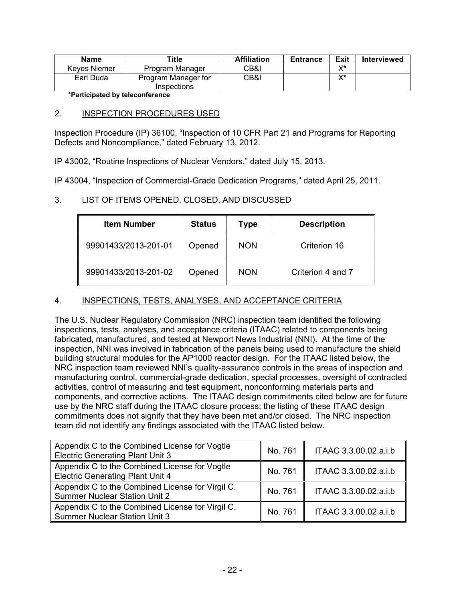| <b>Name</b>  | Title                              | <b>Affiliation</b> | <b>Entrance</b> | Exit | <b>Interviewed</b> |
|--------------|------------------------------------|--------------------|-----------------|------|--------------------|
| Keves Niemer | Program Manager                    | CB&I               |                 | v*   |                    |
| Earl Duda    | Program Manager for<br>Inspections | CB&I               |                 | v*   |                    |

**\*Participated by teleconference** 

## 2. INSPECTION PROCEDURES USED

Inspection Procedure (IP) 36100, "Inspection of 10 CFR Part 21 and Programs for Reporting Defects and Noncompliance," dated February 13, 2012.

IP 43002, "Routine Inspections of Nuclear Vendors," dated July 15, 2013.

IP 43004, "Inspection of Commercial-Grade Dedication Programs," dated April 25, 2011.

## 3. LIST OF ITEMS OPENED, CLOSED, AND DISCUSSED

| <b>Item Number</b>   | <b>Status</b> | <b>Type</b> | <b>Description</b> |
|----------------------|---------------|-------------|--------------------|
| 99901433/2013-201-01 | Opened        | <b>NON</b>  | Criterion 16       |
| 99901433/2013-201-02 | Opened        | <b>NON</b>  | Criterion 4 and 7  |

## 4. INSPECTIONS, TESTS, ANALYSES, AND ACCEPTANCE CRITERIA

The U.S. Nuclear Regulatory Commission (NRC) inspection team identified the following inspections, tests, analyses, and acceptance criteria (ITAAC) related to components being fabricated, manufactured, and tested at Newport News Industrial (NNI). At the time of the inspection, NNI was involved in fabrication of the panels being used to manufacture the shield building structural modules for the AP1000 reactor design. For the ITAAC listed below, the NRC inspection team reviewed NNI's quality-assurance controls in the areas of inspection and manufacturing control, commercial-grade dedication, special processes, oversight of contracted activities, control of measuring and test equipment, nonconforming materials parts and components, and corrective actions. The ITAAC design commitments cited below are for future use by the NRC staff during the ITAAC closure process; the listing of these ITAAC design commitments does not signify that they have been met and/or closed. The NRC inspection team did not identify any findings associated with the ITAAC listed below.

| Appendix C to the Combined License for Vogtle<br><b>Electric Generating Plant Unit 3</b> | No. 761 | ITAAC 3.3.00.02.a.i.b |
|------------------------------------------------------------------------------------------|---------|-----------------------|
| Appendix C to the Combined License for Vogtle<br><b>Electric Generating Plant Unit 4</b> | No. 761 | ITAAC 3.3.00.02.a.i.b |
| Appendix C to the Combined License for Virgil C.<br><b>Summer Nuclear Station Unit 2</b> | No. 761 | ITAAC 3.3.00.02.a.i.b |
| Appendix C to the Combined License for Virgil C.<br><b>Summer Nuclear Station Unit 3</b> | No. 761 | ITAAC 3.3.00.02.a.i.b |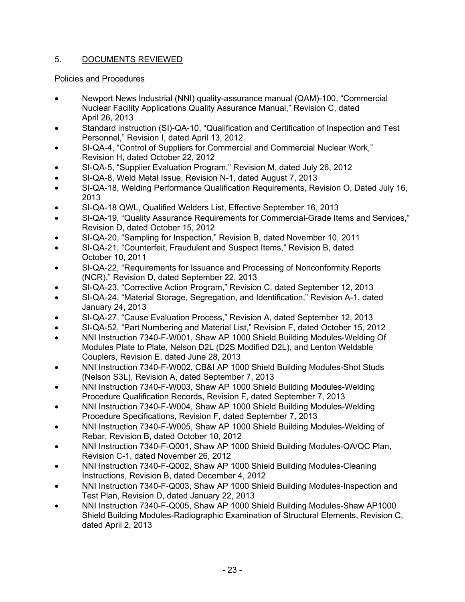# 5. DOCUMENTS REVIEWED

## Policies and Procedures

- Newport News Industrial (NNI) quality-assurance manual (QAM)-100, "Commercial Nuclear Facility Applications Quality Assurance Manual," Revision C, dated April 26, 2013
- Standard instruction (SI)-QA-10, "Qualification and Certification of Inspection and Test Personnel," Revision I, dated April 13, 2012
- SI-QA-4, "Control of Suppliers for Commercial and Commercial Nuclear Work," Revision H, dated October 22, 2012
- SI-QA-5, "Supplier Evaluation Program," Revision M, dated July 26, 2012
- SI-QA-8, Weld Metal Issue, Revision N-1, dated August 7, 2013
- SI-QA-18, Welding Performance Qualification Requirements, Revision O, Dated July 16, 2013
- SI-QA-18 QWL, Qualified Welders List, Effective September 16, 2013
- SI-QA-19, "Quality Assurance Requirements for Commercial-Grade Items and Services," Revision D, dated October 15, 2012
- SI-QA-20, "Sampling for Inspection," Revision B, dated November 10, 2011
- SI-QA-21, "Counterfeit, Fraudulent and Suspect Items," Revision B, dated October 10, 2011
- SI-QA-22, "Requirements for Issuance and Processing of Nonconformity Reports (NCR)," Revision D, dated September 22, 2013
- SI-QA-23, "Corrective Action Program," Revision C, dated September 12, 2013
- SI-QA-24, "Material Storage, Segregation, and Identification," Revision A-1, dated January 24, 2013
- SI-QA-27, "Cause Evaluation Process," Revision A, dated September 12, 2013
- SI-QA-52, "Part Numbering and Material List," Revision F, dated October 15, 2012
- NNI Instruction 7340-F-W001, Shaw AP 1000 Shield Building Modules-Welding Of Modules Plate to Plate, Nelson D2L (D2S Modified D2L), and Lenton Weldable Couplers, Revision E, dated June 28, 2013
- NNI Instruction 7340-F-W002, CB&I AP 1000 Shield Building Modules-Shot Studs (Nelson S3L), Revision A, dated September 7, 2013
- NNI Instruction 7340-F-W003, Shaw AP 1000 Shield Building Modules-Welding Procedure Qualification Records, Revision F, dated September 7, 2013
- NNI Instruction 7340-F-W004, Shaw AP 1000 Shield Building Modules-Welding Procedure Specifications, Revision F, dated September 7, 2013
- NNI Instruction 7340-F-W005, Shaw AP 1000 Shield Building Modules-Welding of Rebar, Revision B, dated October 10, 2012
- NNI Instruction 7340-F-Q001, Shaw AP 1000 Shield Building Modules-QA/QC Plan, Revision C-1, dated November 26, 2012
- NNI Instruction 7340-F-Q002, Shaw AP 1000 Shield Building Modules-Cleaning Instructions, Revision B, dated December 4, 2012
- NNI Instruction 7340-F-Q003, Shaw AP 1000 Shield Building Modules-Inspection and Test Plan, Revision D, dated January 22, 2013
- NNI Instruction 7340-F-Q005, Shaw AP 1000 Shield Building Modules-Shaw AP1000 Shield Building Modules-Radiographic Examination of Structural Elements, Revision C, dated April 2, 2013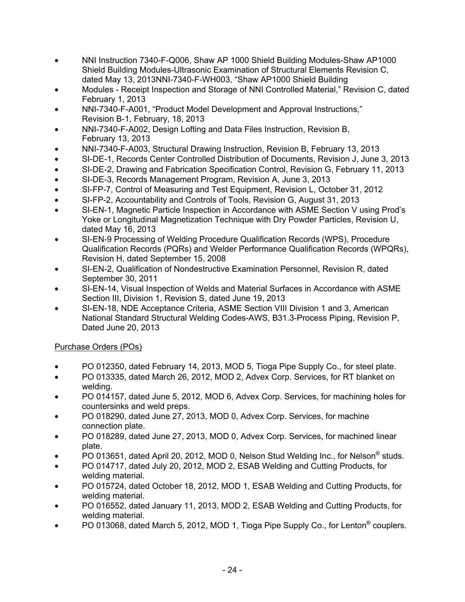- NNI Instruction 7340-F-Q006, Shaw AP 1000 Shield Building Modules-Shaw AP1000 Shield Building Modules-Ultrasonic Examination of Structural Elements Revision C, dated May 13, 2013NNI-7340-F-WH003, "Shaw AP1000 Shield Building
- Modules Receipt Inspection and Storage of NNI Controlled Material," Revision C, dated February 1, 2013
- NNI-7340-F-A001, "Product Model Development and Approval Instructions," Revision B-1, February, 18, 2013
- NNI-7340-F-A002, Design Lofting and Data Files Instruction, Revision B, February 13, 2013
- NNI-7340-F-A003, Structural Drawing Instruction, Revision B, February 13, 2013
- SI-DE-1, Records Center Controlled Distribution of Documents, Revision J, June 3, 2013
- SI-DE-2, Drawing and Fabrication Specification Control, Revision G, February 11, 2013
- SI-DE-3, Records Management Program, Revision A, June 3, 2013
- SI-FP-7, Control of Measuring and Test Equipment, Revision L, October 31, 2012
- SI-FP-2, Accountability and Controls of Tools, Revision G, August 31, 2013
- SI-EN-1, Magnetic Particle Inspection in Accordance with ASME Section V using Prod's Yoke or Longitudinal Magnetization Technique with Dry Powder Particles, Revision U, dated May 16, 2013
- SI-EN-9 Processing of Welding Procedure Qualification Records (WPS), Procedure Qualification Records (PQRs) and Welder Performance Qualification Records (WPQRs), Revision H, dated September 15, 2008
- SI-EN-2, Qualification of Nondestructive Examination Personnel, Revision R, dated September 30, 2011
- SI-EN-14, Visual Inspection of Welds and Material Surfaces in Accordance with ASME Section III, Division 1, Revision S, dated June 19, 2013
- SI-EN-18, NDE Acceptance Criteria, ASME Section VIII Division 1 and 3, American National Standard Structural Welding Codes-AWS, B31.3-Process Piping, Revision P, Dated June 20, 2013

## Purchase Orders (POs)

- PO 012350, dated February 14, 2013, MOD 5, Tioga Pipe Supply Co., for steel plate.
- PO 013335, dated March 26, 2012, MOD 2, Advex Corp. Services, for RT blanket on welding.
- PO 014157, dated June 5, 2012, MOD 6, Advex Corp. Services, for machining holes for countersinks and weld preps.
- PO 018290, dated June 27, 2013, MOD 0, Advex Corp. Services, for machine connection plate.
- PO 018289, dated June 27, 2013, MOD 0, Advex Corp. Services, for machined linear plate.
- PO 013651, dated April 20, 2012, MOD 0, Nelson Stud Welding Inc., for Nelson<sup>®</sup> studs.
- PO 014717, dated July 20, 2012, MOD 2, ESAB Welding and Cutting Products, for welding material.
- PO 015724, dated October 18, 2012, MOD 1, ESAB Welding and Cutting Products, for welding material.
- PO 016552, dated January 11, 2013, MOD 2, ESAB Welding and Cutting Products, for welding material.
- PO 013068, dated March 5, 2012, MOD 1, Tioga Pipe Supply Co., for Lenton<sup>®</sup> couplers.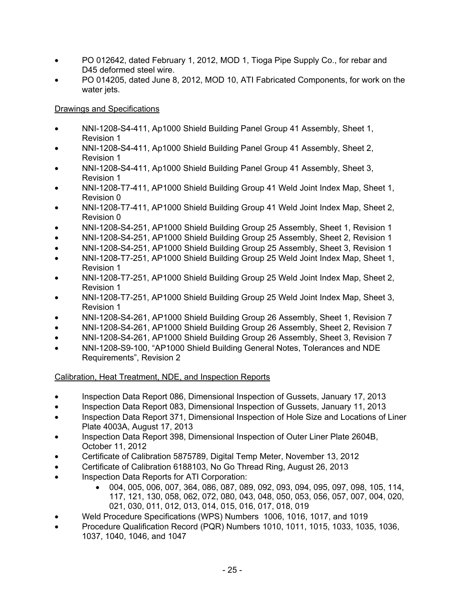- PO 012642, dated February 1, 2012, MOD 1, Tioga Pipe Supply Co., for rebar and D45 deformed steel wire.
- PO 014205, dated June 8, 2012, MOD 10, ATI Fabricated Components, for work on the water jets.

## Drawings and Specifications

- NNI-1208-S4-411, Ap1000 Shield Building Panel Group 41 Assembly, Sheet 1, Revision 1
- NNI-1208-S4-411, Ap1000 Shield Building Panel Group 41 Assembly, Sheet 2, Revision 1
- NNI-1208-S4-411, Ap1000 Shield Building Panel Group 41 Assembly, Sheet 3, Revision 1
- NNI-1208-T7-411, AP1000 Shield Building Group 41 Weld Joint Index Map, Sheet 1, Revision 0
- NNI-1208-T7-411, AP1000 Shield Building Group 41 Weld Joint Index Map, Sheet 2, Revision 0
- NNI-1208-S4-251, AP1000 Shield Building Group 25 Assembly, Sheet 1, Revision 1
- NNI-1208-S4-251, AP1000 Shield Building Group 25 Assembly, Sheet 2, Revision 1
- NNI-1208-S4-251, AP1000 Shield Building Group 25 Assembly, Sheet 3, Revision 1
- NNI-1208-T7-251, AP1000 Shield Building Group 25 Weld Joint Index Map, Sheet 1, Revision 1
- NNI-1208-T7-251, AP1000 Shield Building Group 25 Weld Joint Index Map, Sheet 2, Revision 1
- NNI-1208-T7-251, AP1000 Shield Building Group 25 Weld Joint Index Map, Sheet 3, Revision 1
- NNI-1208-S4-261, AP1000 Shield Building Group 26 Assembly, Sheet 1, Revision 7
- NNI-1208-S4-261, AP1000 Shield Building Group 26 Assembly, Sheet 2, Revision 7
- NNI-1208-S4-261, AP1000 Shield Building Group 26 Assembly, Sheet 3, Revision 7
- NNI-1208-S9-100, "AP1000 Shield Building General Notes, Tolerances and NDE Requirements", Revision 2

# Calibration, Heat Treatment, NDE, and Inspection Reports

- Inspection Data Report 086, Dimensional Inspection of Gussets, January 17, 2013
- Inspection Data Report 083, Dimensional Inspection of Gussets, January 11, 2013
- Inspection Data Report 371, Dimensional Inspection of Hole Size and Locations of Liner Plate 4003A, August 17, 2013
- Inspection Data Report 398, Dimensional Inspection of Outer Liner Plate 2604B, October 11, 2012
- Certificate of Calibration 5875789, Digital Temp Meter, November 13, 2012
- Certificate of Calibration 6188103, No Go Thread Ring, August 26, 2013
- Inspection Data Reports for ATI Corporation:
	- 004, 005, 006, 007, 364, 086, 087, 089, 092, 093, 094, 095, 097, 098, 105, 114, 117, 121, 130, 058, 062, 072, 080, 043, 048, 050, 053, 056, 057, 007, 004, 020, 021, 030, 011, 012, 013, 014, 015, 016, 017, 018, 019
- Weld Procedure Specifications (WPS) Numbers 1006, 1016, 1017, and 1019
- Procedure Qualification Record (PQR) Numbers 1010, 1011, 1015, 1033, 1035, 1036, 1037, 1040, 1046, and 1047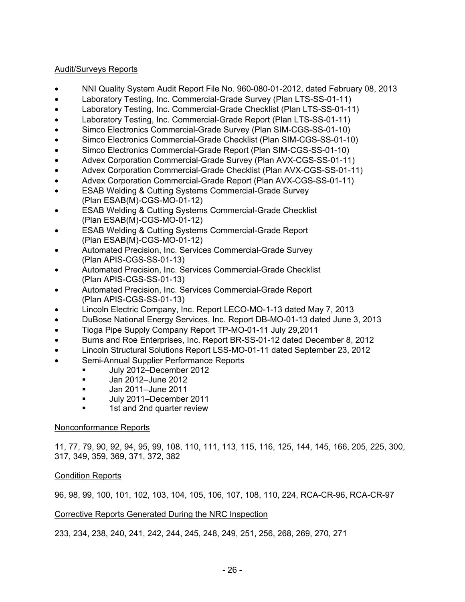## Audit/Surveys Reports

- NNI Quality System Audit Report File No. 960-080-01-2012, dated February 08, 2013
- Laboratory Testing, Inc. Commercial-Grade Survey (Plan LTS-SS-01-11)
- Laboratory Testing, Inc. Commercial-Grade Checklist (Plan LTS-SS-01-11)
- Laboratory Testing, Inc. Commercial-Grade Report (Plan LTS-SS-01-11)
- Simco Electronics Commercial-Grade Survey (Plan SIM-CGS-SS-01-10)
- Simco Electronics Commercial-Grade Checklist (Plan SIM-CGS-SS-01-10)
- Simco Electronics Commercial-Grade Report (Plan SIM-CGS-SS-01-10)
- Advex Corporation Commercial-Grade Survey (Plan AVX-CGS-SS-01-11)
- Advex Corporation Commercial-Grade Checklist (Plan AVX-CGS-SS-01-11)
- Advex Corporation Commercial-Grade Report (Plan AVX-CGS-SS-01-11)
- **ESAB Welding & Cutting Systems Commercial-Grade Survey** (Plan ESAB(M)-CGS-MO-01-12)
- ESAB Welding & Cutting Systems Commercial-Grade Checklist (Plan ESAB(M)-CGS-MO-01-12)
- **ESAB Welding & Cutting Systems Commercial-Grade Report** (Plan ESAB(M)-CGS-MO-01-12)
- Automated Precision, Inc. Services Commercial-Grade Survey (Plan APIS-CGS-SS-01-13)
- Automated Precision, Inc. Services Commercial-Grade Checklist (Plan APIS-CGS-SS-01-13)
- Automated Precision, Inc. Services Commercial-Grade Report (Plan APIS-CGS-SS-01-13)
- Lincoln Electric Company, Inc. Report LECO-MO-1-13 dated May 7, 2013
- DuBose National Energy Services, Inc. Report DB-MO-01-13 dated June 3, 2013
- Tioga Pipe Supply Company Report TP-MO-01-11 July 29,2011
- Burns and Roe Enterprises, Inc. Report BR-SS-01-12 dated December 8, 2012
- Lincoln Structural Solutions Report LSS-MO-01-11 dated September 23, 2012
- Semi-Annual Supplier Performance Reports
	- July 2012–December 2012
	- Jan 2012–June 2012
	- Jan 2011–June 2011
	- Uuly 2011–December 2011
	- 1st and 2nd quarter review

## Nonconformance Reports

11, 77, 79, 90, 92, 94, 95, 99, 108, 110, 111, 113, 115, 116, 125, 144, 145, 166, 205, 225, 300, 317, 349, 359, 369, 371, 372, 382

## Condition Reports

96, 98, 99, 100, 101, 102, 103, 104, 105, 106, 107, 108, 110, 224, RCA-CR-96, RCA-CR-97

## Corrective Reports Generated During the NRC Inspection

233, 234, 238, 240, 241, 242, 244, 245, 248, 249, 251, 256, 268, 269, 270, 271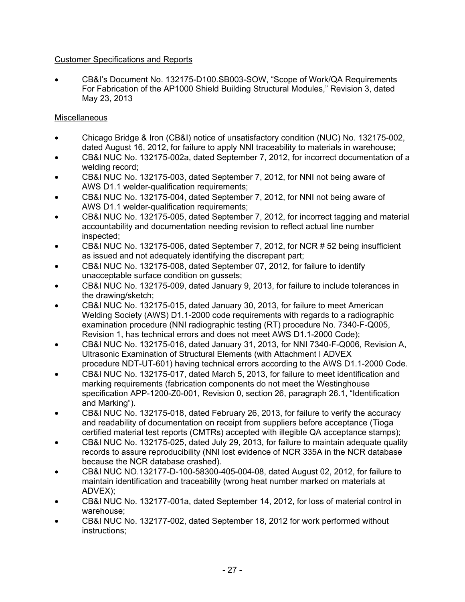## Customer Specifications and Reports

• CB&I's Document No. 132175-D100.SB003-SOW, "Scope of Work/QA Requirements For Fabrication of the AP1000 Shield Building Structural Modules," Revision 3, dated May 23, 2013

## **Miscellaneous**

- Chicago Bridge & Iron (CB&I) notice of unsatisfactory condition (NUC) No. 132175-002, dated August 16, 2012, for failure to apply NNI traceability to materials in warehouse;
- CB&I NUC No. 132175-002a, dated September 7, 2012, for incorrect documentation of a welding record;
- CB&I NUC No. 132175-003, dated September 7, 2012, for NNI not being aware of AWS D1.1 welder-qualification requirements;
- CB&I NUC No. 132175-004, dated September 7, 2012, for NNI not being aware of AWS D1.1 welder-qualification requirements;
- CB&I NUC No. 132175-005, dated September 7, 2012, for incorrect tagging and material accountability and documentation needing revision to reflect actual line number inspected;
- CB&I NUC No. 132175-006, dated September 7, 2012, for NCR # 52 being insufficient as issued and not adequately identifying the discrepant part;
- CB&I NUC No. 132175-008, dated September 07, 2012, for failure to identify unacceptable surface condition on gussets;
- CB&I NUC No. 132175-009, dated January 9, 2013, for failure to include tolerances in the drawing/sketch;
- CB&I NUC No. 132175-015, dated January 30, 2013, for failure to meet American Welding Society (AWS) D1.1-2000 code requirements with regards to a radiographic examination procedure (NNI radiographic testing (RT) procedure No. 7340-F-Q005, Revision 1, has technical errors and does not meet AWS D1.1-2000 Code);
- CB&I NUC No. 132175-016, dated January 31, 2013, for NNI 7340-F-Q006, Revision A, Ultrasonic Examination of Structural Elements (with Attachment I ADVEX procedure NDT-UT-601) having technical errors according to the AWS D1.1-2000 Code.
- CB&I NUC No. 132175-017, dated March 5, 2013, for failure to meet identification and marking requirements (fabrication components do not meet the Westinghouse specification APP-1200-Z0-001, Revision 0, section 26, paragraph 26.1, "Identification and Marking").
- CB&I NUC No. 132175-018, dated February 26, 2013, for failure to verify the accuracy and readability of documentation on receipt from suppliers before acceptance (Tioga certified material test reports (CMTRs) accepted with illegible QA acceptance stamps);
- CB&I NUC No. 132175-025, dated July 29, 2013, for failure to maintain adequate quality records to assure reproducibility (NNI lost evidence of NCR 335A in the NCR database because the NCR database crashed).
- CB&I NUC NO.132177-D-100-58300-405-004-08, dated August 02, 2012, for failure to maintain identification and traceability (wrong heat number marked on materials at ADVEX);
- CB&I NUC No. 132177-001a, dated September 14, 2012, for loss of material control in warehouse;
- CB&I NUC No. 132177-002, dated September 18, 2012 for work performed without instructions;